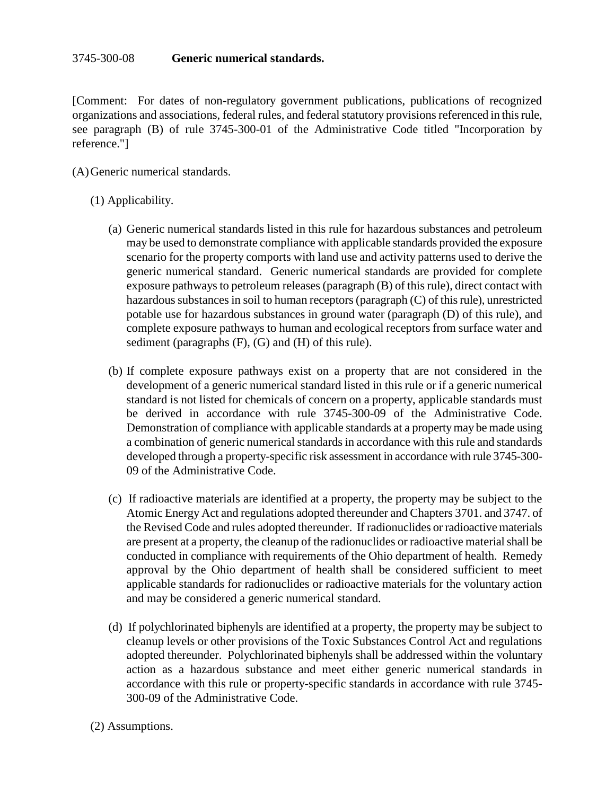[Comment: For dates of non-regulatory government publications, publications of recognized organizations and associations, federal rules, and federal statutory provisions referenced in this rule, see paragraph (B) of rule 3745-300-01 of the Administrative Code titled "Incorporation by reference."]

(A)Generic numerical standards.

## (1) Applicability.

- (a) Generic numerical standards listed in this rule for hazardous substances and petroleum may be used to demonstrate compliance with applicable standards provided the exposure scenario for the property comports with land use and activity patterns used to derive the generic numerical standard. Generic numerical standards are provided for complete exposure pathways to petroleum releases (paragraph (B) of this rule), direct contact with hazardous substances in soil to human receptors (paragraph (C) of this rule), unrestricted potable use for hazardous substances in ground water (paragraph (D) of this rule), and complete exposure pathways to human and ecological receptors from surface water and sediment (paragraphs (F), (G) and (H) of this rule).
- (b) If complete exposure pathways exist on a property that are not considered in the development of a generic numerical standard listed in this rule or if a generic numerical standard is not listed for chemicals of concern on a property, applicable standards must be derived in accordance with rule 3745-300-09 of the Administrative Code. Demonstration of compliance with applicable standards at a property may be made using a combination of generic numerical standards in accordance with this rule and standards developed through a property-specific risk assessment in accordance with rule 3745-300- 09 of the Administrative Code.
- (c) If radioactive materials are identified at a property, the property may be subject to the Atomic Energy Act and regulations adopted thereunder and Chapters 3701. and 3747. of the Revised Code and rules adopted thereunder. If radionuclides or radioactive materials are present at a property, the cleanup of the radionuclides or radioactive material shall be conducted in compliance with requirements of the Ohio department of health. Remedy approval by the Ohio department of health shall be considered sufficient to meet applicable standards for radionuclides or radioactive materials for the voluntary action and may be considered a generic numerical standard.
- (d) If polychlorinated biphenyls are identified at a property, the property may be subject to cleanup levels or other provisions of the Toxic Substances Control Act and regulations adopted thereunder. Polychlorinated biphenyls shall be addressed within the voluntary action as a hazardous substance and meet either generic numerical standards in accordance with this rule or property-specific standards in accordance with rule 3745- 300-09 of the Administrative Code.

## (2) Assumptions.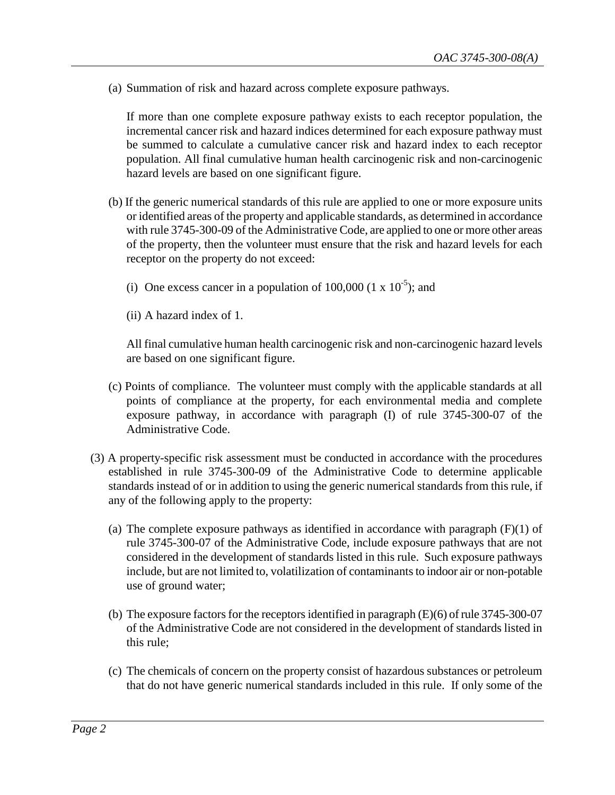(a) Summation of risk and hazard across complete exposure pathways.

If more than one complete exposure pathway exists to each receptor population, the incremental cancer risk and hazard indices determined for each exposure pathway must be summed to calculate a cumulative cancer risk and hazard index to each receptor population. All final cumulative human health carcinogenic risk and non-carcinogenic hazard levels are based on one significant figure.

- (b) If the generic numerical standards of this rule are applied to one or more exposure units or identified areas of the property and applicable standards, as determined in accordance with rule 3745-300-09 of the Administrative Code, are applied to one or more other areas of the property, then the volunteer must ensure that the risk and hazard levels for each receptor on the property do not exceed:
	- (i) One excess cancer in a population of  $100,000$  (1 x  $10^{-5}$ ); and
	- (ii) A hazard index of 1.

All final cumulative human health carcinogenic risk and non-carcinogenic hazard levels are based on one significant figure.

- (c) Points of compliance. The volunteer must comply with the applicable standards at all points of compliance at the property, for each environmental media and complete exposure pathway, in accordance with paragraph (I) of rule 3745-300-07 of the Administrative Code.
- (3) A property-specific risk assessment must be conducted in accordance with the procedures established in rule 3745-300-09 of the Administrative Code to determine applicable standards instead of or in addition to using the generic numerical standards from this rule, if any of the following apply to the property:
	- (a) The complete exposure pathways as identified in accordance with paragraph  $(F)(1)$  of rule 3745-300-07 of the Administrative Code, include exposure pathways that are not considered in the development of standards listed in this rule. Such exposure pathways include, but are not limited to, volatilization of contaminants to indoor air or non-potable use of ground water;
	- (b) The exposure factors for the receptors identified in paragraph (E)(6) of rule 3745-300-07 of the Administrative Code are not considered in the development of standards listed in this rule;
	- (c) The chemicals of concern on the property consist of hazardous substances or petroleum that do not have generic numerical standards included in this rule. If only some of the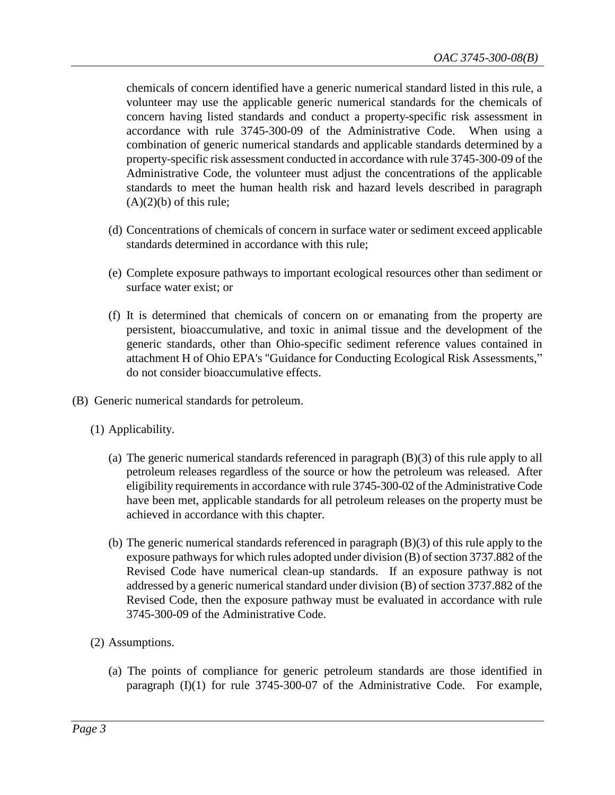chemicals of concern identified have a generic numerical standard listed in this rule, a volunteer may use the applicable generic numerical standards for the chemicals of concern having listed standards and conduct a property-specific risk assessment in accordance with rule 3745-300-09 of the Administrative Code. When using a combination of generic numerical standards and applicable standards determined by a property-specific risk assessment conducted in accordance with rule 3745-300-09 of the Administrative Code, the volunteer must adjust the concentrations of the applicable standards to meet the human health risk and hazard levels described in paragraph  $(A)(2)(b)$  of this rule;

- (d) Concentrations of chemicals of concern in surface water or sediment exceed applicable standards determined in accordance with this rule;
- (e) Complete exposure pathways to important ecological resources other than sediment or surface water exist; or
- (f) It is determined that chemicals of concern on or emanating from the property are persistent, bioaccumulative, and toxic in animal tissue and the development of the generic standards, other than Ohio-specific sediment reference values contained in attachment H of Ohio EPA's "Guidance for Conducting Ecological Risk Assessments," do not consider bioaccumulative effects.
- (B) Generic numerical standards for petroleum.
	- (1) Applicability.
		- (a) The generic numerical standards referenced in paragraph (B)(3) of this rule apply to all petroleum releases regardless of the source or how the petroleum was released. After eligibility requirements in accordance with rule 3745-300-02 of the Administrative Code have been met, applicable standards for all petroleum releases on the property must be achieved in accordance with this chapter.
		- (b) The generic numerical standards referenced in paragraph (B)(3) of this rule apply to the exposure pathways for which rules adopted under division (B) of section 3737.882 of the Revised Code have numerical clean-up standards. If an exposure pathway is not addressed by a generic numerical standard under division (B) of section 3737.882 of the Revised Code, then the exposure pathway must be evaluated in accordance with rule 3745-300-09 of the Administrative Code.
	- (2) Assumptions.
		- (a) The points of compliance for generic petroleum standards are those identified in paragraph (I)(1) for rule 3745-300-07 of the Administrative Code. For example,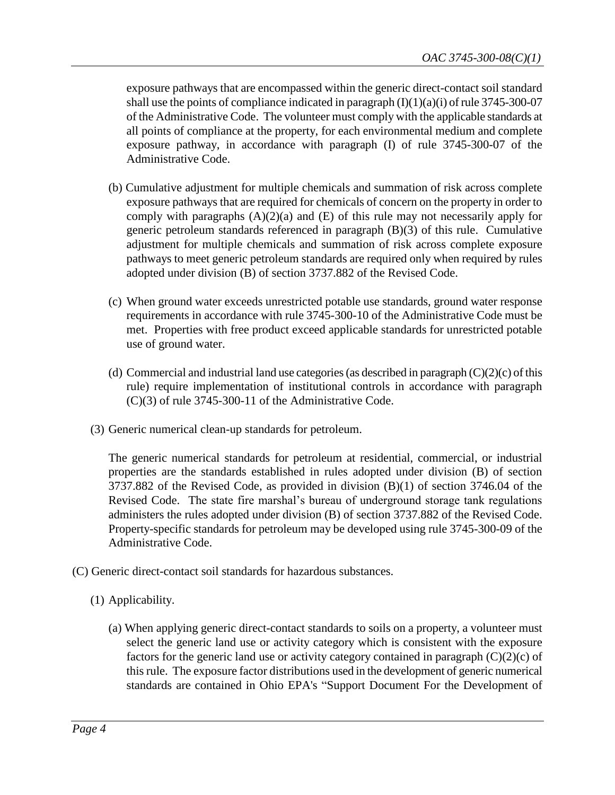exposure pathways that are encompassed within the generic direct-contact soil standard shall use the points of compliance indicated in paragraph  $(I)(1)(a)(i)$  of rule 3745-300-07 of the Administrative Code. The volunteer must comply with the applicable standards at all points of compliance at the property, for each environmental medium and complete exposure pathway, in accordance with paragraph (I) of rule 3745-300-07 of the Administrative Code.

- (b) Cumulative adjustment for multiple chemicals and summation of risk across complete exposure pathways that are required for chemicals of concern on the property in order to comply with paragraphs  $(A)(2)(a)$  and  $(E)$  of this rule may not necessarily apply for generic petroleum standards referenced in paragraph (B)(3) of this rule. Cumulative adjustment for multiple chemicals and summation of risk across complete exposure pathways to meet generic petroleum standards are required only when required by rules adopted under division (B) of section 3737.882 of the Revised Code.
- (c) When ground water exceeds unrestricted potable use standards, ground water response requirements in accordance with rule 3745-300-10 of the Administrative Code must be met. Properties with free product exceed applicable standards for unrestricted potable use of ground water.
- (d) Commercial and industrial land use categories (as described in paragraph  $(C)(2)(c)$  of this rule) require implementation of institutional controls in accordance with paragraph (C)(3) of rule 3745-300-11 of the Administrative Code.
- (3) Generic numerical clean-up standards for petroleum.

The generic numerical standards for petroleum at residential, commercial, or industrial properties are the standards established in rules adopted under division (B) of section 3737.882 of the Revised Code, as provided in division (B)(1) of section 3746.04 of the Revised Code. The state fire marshal's bureau of underground storage tank regulations administers the rules adopted under division (B) of section 3737.882 of the Revised Code. Property-specific standards for petroleum may be developed using rule 3745-300-09 of the Administrative Code.

- (C) Generic direct-contact soil standards for hazardous substances.
	- (1) Applicability.
		- (a) When applying generic direct-contact standards to soils on a property, a volunteer must select the generic land use or activity category which is consistent with the exposure factors for the generic land use or activity category contained in paragraph  $(C)(2)(c)$  of this rule. The exposure factor distributions used in the development of generic numerical standards are contained in Ohio EPA's "Support Document For the Development of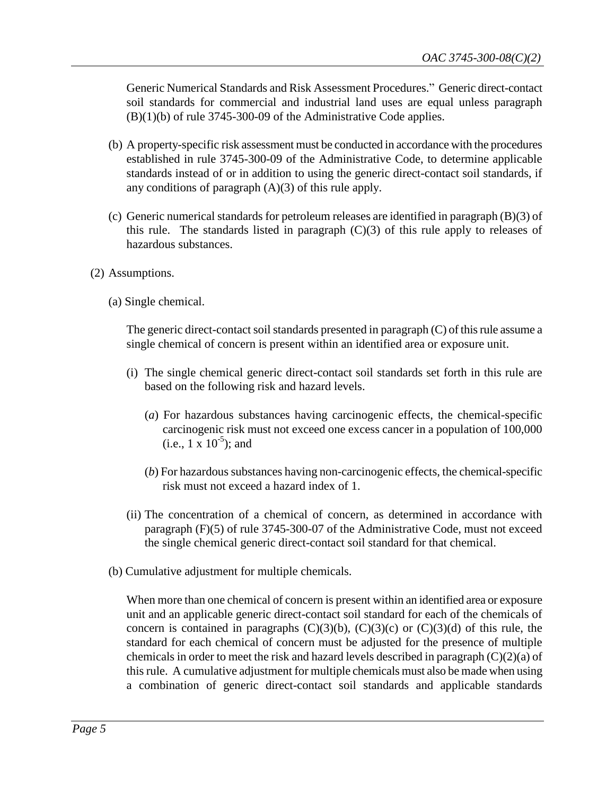Generic Numerical Standards and Risk Assessment Procedures." Generic direct-contact soil standards for commercial and industrial land uses are equal unless paragraph  $(B)(1)(b)$  of rule 3745-300-09 of the Administrative Code applies.

- (b) A property-specific risk assessment must be conducted in accordance with the procedures established in rule 3745-300-09 of the Administrative Code, to determine applicable standards instead of or in addition to using the generic direct-contact soil standards, if any conditions of paragraph  $(A)(3)$  of this rule apply.
- (c) Generic numerical standards for petroleum releases are identified in paragraph (B)(3) of this rule. The standards listed in paragraph (C)(3) of this rule apply to releases of hazardous substances.
- (2) Assumptions.
	- (a) Single chemical.

The generic direct-contact soil standards presented in paragraph (C) of this rule assume a single chemical of concern is present within an identified area or exposure unit.

- (i) The single chemical generic direct-contact soil standards set forth in this rule are based on the following risk and hazard levels.
	- (*a*) For hazardous substances having carcinogenic effects, the chemical-specific carcinogenic risk must not exceed one excess cancer in a population of 100,000  $(i.e., 1 \times 10^{-5})$ ; and
	- (*b*) For hazardoussubstances having non-carcinogenic effects, the chemical-specific risk must not exceed a hazard index of 1.
- (ii) The concentration of a chemical of concern, as determined in accordance with paragraph (F)(5) of rule 3745-300-07 of the Administrative Code, must not exceed the single chemical generic direct-contact soil standard for that chemical.
- (b) Cumulative adjustment for multiple chemicals.

When more than one chemical of concern is present within an identified area or exposure unit and an applicable generic direct-contact soil standard for each of the chemicals of concern is contained in paragraphs  $(C)(3)(b)$ ,  $(C)(3)(c)$  or  $(C)(3)(d)$  of this rule, the standard for each chemical of concern must be adjusted for the presence of multiple chemicals in order to meet the risk and hazard levels described in paragraph (C)(2)(a) of this rule. A cumulative adjustment for multiple chemicals must also be made when using a combination of generic direct-contact soil standards and applicable standards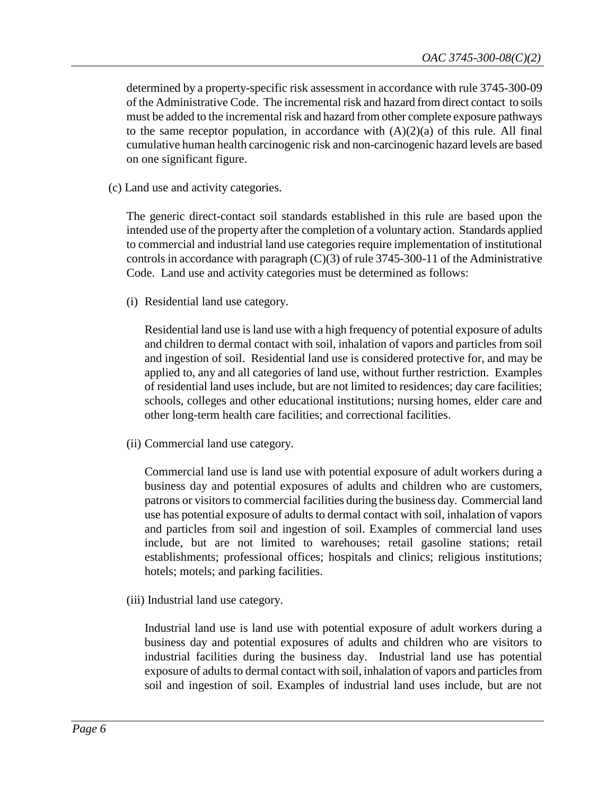determined by a property-specific risk assessment in accordance with rule 3745-300-09 of the Administrative Code. The incremental risk and hazard from direct contact to soils must be added to the incremental risk and hazard from other complete exposure pathways to the same receptor population, in accordance with  $(A)(2)(a)$  of this rule. All final cumulative human health carcinogenic risk and non-carcinogenic hazard levels are based on one significant figure.

(c) Land use and activity categories.

The generic direct-contact soil standards established in this rule are based upon the intended use of the property after the completion of a voluntary action. Standards applied to commercial and industrial land use categories require implementation of institutional controls in accordance with paragraph  $(C)(3)$  of rule 3745-300-11 of the Administrative Code. Land use and activity categories must be determined as follows:

(i) Residential land use category.

Residential land use is land use with a high frequency of potential exposure of adults and children to dermal contact with soil, inhalation of vapors and particles from soil and ingestion of soil. Residential land use is considered protective for, and may be applied to, any and all categories of land use, without further restriction. Examples of residential land uses include, but are not limited to residences; day care facilities; schools, colleges and other educational institutions; nursing homes, elder care and other long-term health care facilities; and correctional facilities.

(ii) Commercial land use category.

Commercial land use is land use with potential exposure of adult workers during a business day and potential exposures of adults and children who are customers, patrons or visitors to commercial facilities during the business day. Commercial land use has potential exposure of adults to dermal contact with soil, inhalation of vapors and particles from soil and ingestion of soil. Examples of commercial land uses include, but are not limited to warehouses; retail gasoline stations; retail establishments; professional offices; hospitals and clinics; religious institutions; hotels; motels; and parking facilities.

(iii) Industrial land use category.

Industrial land use is land use with potential exposure of adult workers during a business day and potential exposures of adults and children who are visitors to industrial facilities during the business day. Industrial land use has potential exposure of adults to dermal contact with soil, inhalation of vapors and particles from soil and ingestion of soil. Examples of industrial land uses include, but are not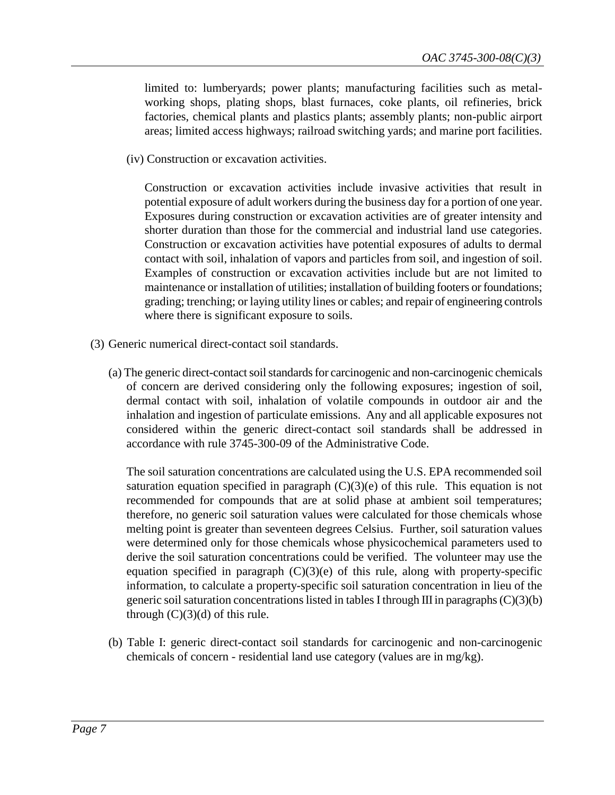limited to: lumberyards; power plants; manufacturing facilities such as metalworking shops, plating shops, blast furnaces, coke plants, oil refineries, brick factories, chemical plants and plastics plants; assembly plants; non-public airport areas; limited access highways; railroad switching yards; and marine port facilities.

(iv) Construction or excavation activities.

Construction or excavation activities include invasive activities that result in potential exposure of adult workers during the business day for a portion of one year. Exposures during construction or excavation activities are of greater intensity and shorter duration than those for the commercial and industrial land use categories. Construction or excavation activities have potential exposures of adults to dermal contact with soil, inhalation of vapors and particles from soil, and ingestion of soil. Examples of construction or excavation activities include but are not limited to maintenance or installation of utilities; installation of building footers or foundations; grading; trenching; or laying utility lines or cables; and repair of engineering controls where there is significant exposure to soils.

- (3) Generic numerical direct-contact soil standards.
	- (a) The generic direct-contact soil standards for carcinogenic and non-carcinogenic chemicals of concern are derived considering only the following exposures; ingestion of soil, dermal contact with soil, inhalation of volatile compounds in outdoor air and the inhalation and ingestion of particulate emissions. Any and all applicable exposures not considered within the generic direct-contact soil standards shall be addressed in accordance with rule 3745-300-09 of the Administrative Code.

The soil saturation concentrations are calculated using the U.S. EPA recommended soil saturation equation specified in paragraph  $(C)(3)(e)$  of this rule. This equation is not recommended for compounds that are at solid phase at ambient soil temperatures; therefore, no generic soil saturation values were calculated for those chemicals whose melting point is greater than seventeen degrees Celsius. Further, soil saturation values were determined only for those chemicals whose physicochemical parameters used to derive the soil saturation concentrations could be verified. The volunteer may use the equation specified in paragraph  $(C)(3)(e)$  of this rule, along with property-specific information, to calculate a property-specific soil saturation concentration in lieu of the generic soil saturation concentrations listed in tables I through III in paragraphs  $(C)(3)(b)$ through  $(C)(3)(d)$  of this rule.

(b) Table I: generic direct-contact soil standards for carcinogenic and non-carcinogenic chemicals of concern - residential land use category (values are in mg/kg).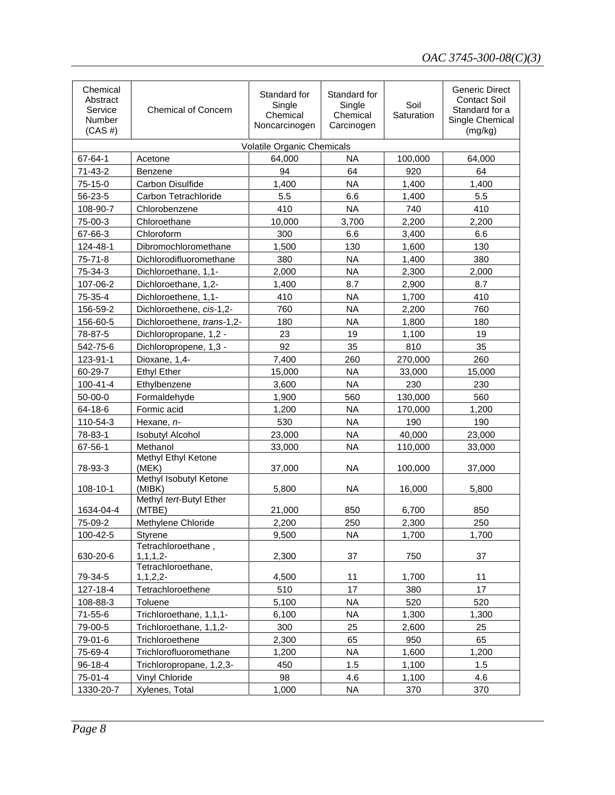| Chemical<br>Abstract<br>Service<br>Number<br>$(CAS \#)$ | <b>Chemical of Concern</b>           | Standard for<br>Single<br>Chemical<br>Noncarcinogen | Standard for<br>Single<br>Chemical<br>Carcinogen | Soil<br>Saturation | <b>Generic Direct</b><br><b>Contact Soil</b><br>Standard for a<br>Single Chemical<br>(mg/kg) |
|---------------------------------------------------------|--------------------------------------|-----------------------------------------------------|--------------------------------------------------|--------------------|----------------------------------------------------------------------------------------------|
|                                                         |                                      | Volatile Organic Chemicals                          |                                                  |                    |                                                                                              |
| 67-64-1                                                 | Acetone                              | 64,000                                              | <b>NA</b>                                        | 100,000            | 64,000                                                                                       |
| 71-43-2                                                 | Benzene                              | 94                                                  | 64                                               | 920                | 64                                                                                           |
| 75-15-0                                                 | Carbon Disulfide                     | 1,400                                               | <b>NA</b>                                        | 1,400              | 1,400                                                                                        |
| 56-23-5                                                 | Carbon Tetrachloride                 | 5.5                                                 | 6.6                                              | 1,400              | 5.5                                                                                          |
| 108-90-7                                                | Chlorobenzene                        | 410                                                 | <b>NA</b>                                        | 740                | 410                                                                                          |
| 75-00-3                                                 | Chloroethane                         | 10,000                                              | 3,700                                            | 2,200              | 2,200                                                                                        |
| 67-66-3                                                 | Chloroform                           | 300                                                 | 6.6                                              | 3,400              | 6.6                                                                                          |
| 124-48-1                                                | Dibromochloromethane                 | 1,500                                               | 130                                              | 1,600              | 130                                                                                          |
| $75 - 71 - 8$                                           | Dichlorodifluoromethane              | 380                                                 | <b>NA</b>                                        | 1,400              | 380                                                                                          |
| 75-34-3                                                 | Dichloroethane, 1,1-                 | 2,000                                               | <b>NA</b>                                        | 2,300              | 2,000                                                                                        |
| 107-06-2                                                | Dichloroethane, 1,2-                 | 1,400                                               | 8.7                                              | 2,900              | 8.7                                                                                          |
| 75-35-4                                                 | Dichloroethene, 1,1-                 | 410                                                 | <b>NA</b>                                        | 1,700              | 410                                                                                          |
| 156-59-2                                                | Dichloroethene, cis-1,2-             | 760                                                 | <b>NA</b>                                        | 2,200              | 760                                                                                          |
| 156-60-5                                                | Dichloroethene, trans-1,2-           | 180                                                 | <b>NA</b>                                        | 1,800              | 180                                                                                          |
| 78-87-5                                                 | Dichloropropane, 1,2 -               | 23                                                  | 19                                               | 1,100              | 19                                                                                           |
| 542-75-6                                                | Dichloropropene, 1,3 -               | 92                                                  | 35                                               | 810                | 35                                                                                           |
| 123-91-1                                                | Dioxane, 1,4-                        | 7,400                                               | 260                                              | 270,000            | 260                                                                                          |
| 60-29-7                                                 | <b>Ethyl Ether</b>                   | 15,000                                              | <b>NA</b>                                        | 33,000             | 15,000                                                                                       |
| $100 - 41 - 4$                                          | Ethylbenzene                         | 3,600                                               | <b>NA</b>                                        | 230                | 230                                                                                          |
| 50-00-0                                                 | Formaldehyde                         | 1,900                                               | 560                                              | 130,000            | 560                                                                                          |
| 64-18-6                                                 | Formic acid                          | 1,200                                               | <b>NA</b>                                        | 170,000            | 1,200                                                                                        |
| 110-54-3                                                | Hexane, n-                           | 530                                                 | <b>NA</b>                                        | 190                | 190                                                                                          |
| 78-83-1                                                 | <b>Isobutyl Alcohol</b>              | 23,000                                              | <b>NA</b>                                        | 40,000             | 23,000                                                                                       |
| 67-56-1                                                 | Methanol                             | 33,000                                              | <b>NA</b>                                        | 110,000            | 33,000                                                                                       |
| 78-93-3                                                 | Methyl Ethyl Ketone<br>(MEK)         | 37,000                                              | <b>NA</b>                                        | 100,000            | 37,000                                                                                       |
| 108-10-1                                                | Methyl Isobutyl Ketone<br>(MIBK)     | 5,800                                               | <b>NA</b>                                        | 16,000             | 5,800                                                                                        |
| 1634-04-4                                               | Methyl tert-Butyl Ether<br>(MTBE)    | 21,000                                              | 850                                              | 6,700              | 850                                                                                          |
| 75-09-2                                                 | Methylene Chloride                   | 2,200                                               | 250                                              | 2,300              | 250                                                                                          |
| 100-42-5                                                | <b>Styrene</b>                       | 9,500                                               | <b>NA</b>                                        | 1,700              | 1,700                                                                                        |
| 630-20-6                                                | Tetrachloroethane,<br>$1, 1, 1, 2 -$ | 2,300                                               | 37                                               | 750                | 37                                                                                           |
|                                                         | Tetrachloroethane,                   |                                                     |                                                  |                    |                                                                                              |
| 79-34-5                                                 | $1, 1, 2, 2-$                        | 4,500                                               | 11                                               | 1,700              | 11                                                                                           |
| 127-18-4                                                | Tetrachloroethene                    | 510                                                 | 17                                               | 380                | 17                                                                                           |
| 108-88-3                                                | Toluene                              | 5,100                                               | <b>NA</b>                                        | 520                | 520                                                                                          |
| 71-55-6                                                 | Trichloroethane, 1,1,1-              | 6,100                                               | <b>NA</b>                                        | 1,300              | 1,300                                                                                        |
| 79-00-5                                                 | Trichloroethane, 1,1,2-              | 300                                                 | 25                                               | 2,600              | 25                                                                                           |
| 79-01-6                                                 | Trichloroethene                      | 2,300                                               | 65                                               | 950                | 65                                                                                           |
| 75-69-4                                                 | Trichlorofluoromethane               | 1,200                                               | NA                                               | 1,600              | 1,200                                                                                        |
| 96-18-4                                                 | Trichloropropane, 1,2,3-             | 450                                                 | 1.5                                              | 1,100              | 1.5                                                                                          |
| 75-01-4                                                 | Vinyl Chloride                       | 98                                                  | 4.6                                              | 1,100              | 4.6                                                                                          |
| 1330-20-7                                               | Xylenes, Total                       | 1,000                                               | <b>NA</b>                                        | 370                | 370                                                                                          |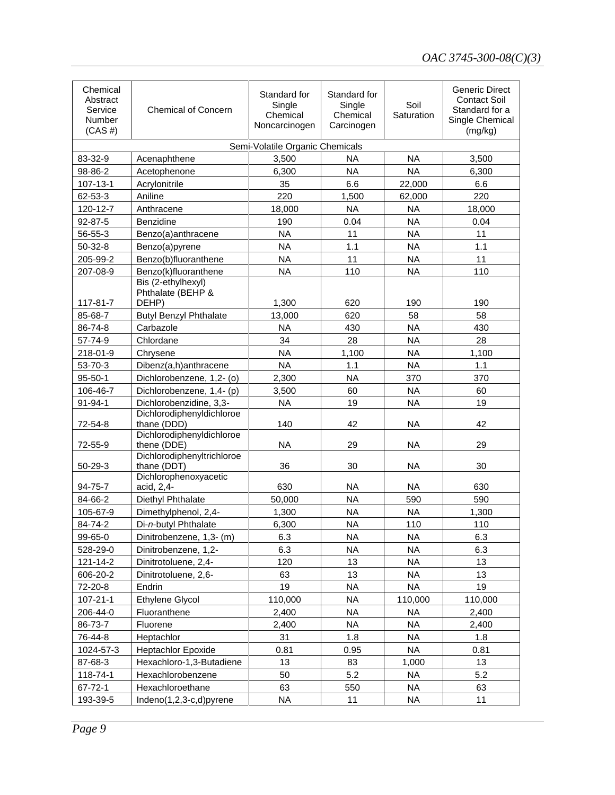| Chemical<br>Abstract<br>Service<br>Number<br>$(CAS \#)$ | <b>Chemical of Concern</b>                       | Standard for<br>Single<br>Chemical<br>Noncarcinogen | Standard for<br>Single<br>Chemical<br>Carcinogen | Soil<br>Saturation | <b>Generic Direct</b><br><b>Contact Soil</b><br>Standard for a<br>Single Chemical<br>(mg/kg) |
|---------------------------------------------------------|--------------------------------------------------|-----------------------------------------------------|--------------------------------------------------|--------------------|----------------------------------------------------------------------------------------------|
|                                                         |                                                  | Semi-Volatile Organic Chemicals                     |                                                  |                    |                                                                                              |
| 83-32-9                                                 | Acenaphthene                                     | 3,500                                               | <b>NA</b>                                        | <b>NA</b>          | 3,500                                                                                        |
| 98-86-2                                                 | Acetophenone                                     | 6,300                                               | <b>NA</b>                                        | <b>NA</b>          | 6,300                                                                                        |
| 107-13-1                                                | Acrylonitrile                                    | 35                                                  | 6.6                                              | 22,000             | 6.6                                                                                          |
| 62-53-3                                                 | Aniline                                          | 220                                                 | 1,500                                            | 62,000             | 220                                                                                          |
| 120-12-7                                                | Anthracene                                       | 18,000                                              | <b>NA</b>                                        | <b>NA</b>          | 18,000                                                                                       |
| 92-87-5                                                 | <b>Benzidine</b>                                 | 190                                                 | 0.04                                             | <b>NA</b>          | 0.04                                                                                         |
| 56-55-3                                                 | Benzo(a)anthracene                               | <b>NA</b>                                           | 11                                               | <b>NA</b>          | 11                                                                                           |
| $50 - 32 - 8$                                           | Benzo(a)pyrene                                   | <b>NA</b>                                           | 1.1                                              | <b>NA</b>          | 1.1                                                                                          |
| 205-99-2                                                | Benzo(b)fluoranthene                             | <b>NA</b>                                           | 11                                               | <b>NA</b>          | 11                                                                                           |
| 207-08-9                                                | Benzo(k)fluoranthene                             | <b>NA</b>                                           | 110                                              | <b>NA</b>          | 110                                                                                          |
| 117-81-7                                                | Bis (2-ethylhexyl)<br>Phthalate (BEHP &<br>DEHP) | 1,300                                               | 620                                              | 190                | 190                                                                                          |
| 85-68-7                                                 | <b>Butyl Benzyl Phthalate</b>                    | 13,000                                              | 620                                              | 58                 | 58                                                                                           |
| 86-74-8                                                 | Carbazole                                        | <b>NA</b>                                           | 430                                              | <b>NA</b>          | 430                                                                                          |
| 57-74-9                                                 | Chlordane                                        | 34                                                  | 28                                               | <b>NA</b>          | 28                                                                                           |
| 218-01-9                                                | Chrysene                                         | <b>NA</b>                                           | 1,100                                            | <b>NA</b>          | 1,100                                                                                        |
| 53-70-3                                                 | Dibenz(a,h)anthracene                            | <b>NA</b>                                           | 1.1                                              | <b>NA</b>          | 1.1                                                                                          |
| $95 - 50 - 1$                                           | Dichlorobenzene, 1,2- (o)                        | 2,300                                               | <b>NA</b>                                        | 370                | 370                                                                                          |
| 106-46-7                                                | Dichlorobenzene, 1,4- (p)                        | 3,500                                               | 60                                               | <b>NA</b>          | 60                                                                                           |
| 91-94-1                                                 | Dichlorobenzidine, 3,3-                          | <b>NA</b>                                           | 19                                               | <b>NA</b>          | 19                                                                                           |
| 72-54-8                                                 | Dichlorodiphenyldichloroe<br>thane (DDD)         | 140                                                 | 42                                               | <b>NA</b>          | 42                                                                                           |
| 72-55-9                                                 | Dichlorodiphenyldichloroe<br>thene (DDE)         | <b>NA</b>                                           | 29                                               | <b>NA</b>          | 29                                                                                           |
| 50-29-3                                                 | Dichlorodiphenyltrichloroe<br>thane (DDT)        | 36                                                  | 30                                               | <b>NA</b>          | 30                                                                                           |
| 94-75-7                                                 | Dichlorophenoxyacetic<br>acid, 2,4-              | 630                                                 | <b>NA</b>                                        | <b>NA</b>          | 630                                                                                          |
| 84-66-2                                                 | Diethyl Phthalate                                | 50,000                                              | <b>NA</b>                                        | 590                | 590                                                                                          |
| 105-67-9                                                | Dimethylphenol, 2,4-                             | 1,300                                               | <b>NA</b>                                        | <b>NA</b>          | 1,300                                                                                        |
| 84-74-2                                                 | Di-n-butyl Phthalate                             | 6,300                                               | <b>NA</b>                                        | 110                | 110                                                                                          |
| 99-65-0                                                 | Dinitrobenzene, 1,3- (m)                         | 6.3                                                 | NA                                               | <b>NA</b>          | 6.3                                                                                          |
| 528-29-0                                                | Dinitrobenzene, 1,2-                             | 6.3                                                 | <b>NA</b>                                        | <b>NA</b>          | 6.3                                                                                          |
| 121-14-2                                                | Dinitrotoluene, 2,4-                             | 120                                                 | 13                                               | NA.                | 13                                                                                           |
| 606-20-2                                                | Dinitrotoluene, 2,6-                             | 63                                                  | 13                                               | NA.                | 13                                                                                           |
| 72-20-8                                                 | Endrin                                           | 19                                                  | <b>NA</b>                                        | <b>NA</b>          | 19                                                                                           |
| $107 - 21 - 1$                                          | Ethylene Glycol                                  | 110,000                                             | <b>NA</b>                                        | 110,000            | 110,000                                                                                      |
| 206-44-0                                                | Fluoranthene                                     | 2,400                                               | <b>NA</b>                                        | <b>NA</b>          | 2,400                                                                                        |
| 86-73-7                                                 | Fluorene                                         | 2,400                                               | <b>NA</b>                                        | <b>NA</b>          | 2,400                                                                                        |
| 76-44-8                                                 | Heptachlor                                       | 31                                                  | 1.8                                              | <b>NA</b>          | 1.8                                                                                          |
| 1024-57-3                                               | <b>Heptachlor Epoxide</b>                        | 0.81                                                | 0.95                                             | <b>NA</b>          | 0.81                                                                                         |
| 87-68-3                                                 | Hexachloro-1,3-Butadiene                         | 13                                                  | 83                                               | 1,000              | 13                                                                                           |
| 118-74-1                                                | Hexachlorobenzene                                | 50                                                  | 5.2                                              | <b>NA</b>          | 5.2                                                                                          |
| 67-72-1                                                 | Hexachloroethane                                 | 63                                                  | 550                                              | <b>NA</b>          | 63                                                                                           |
| 193-39-5                                                | Indeno(1,2,3-c,d)pyrene                          | NA                                                  | 11                                               | NA                 | 11                                                                                           |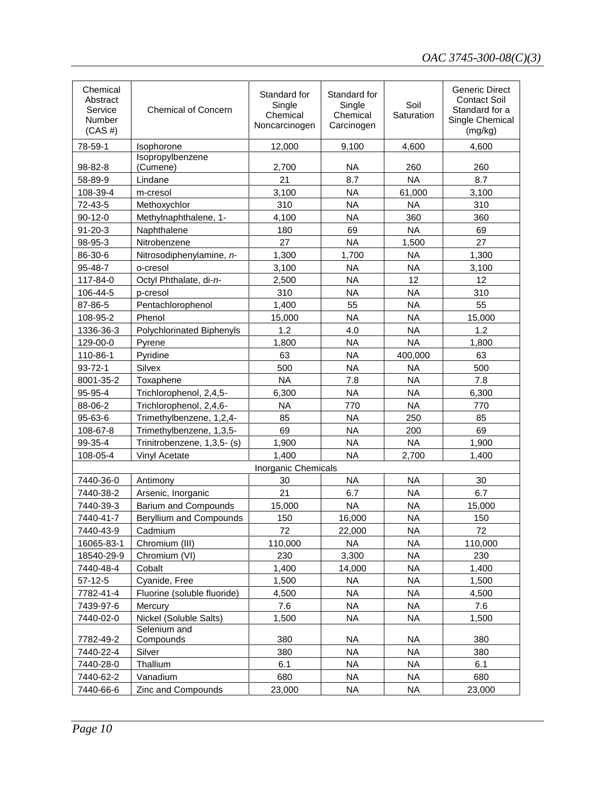| Chemical<br>Abstract<br>Service<br>Number<br>$(CAS \#)$ | <b>Chemical of Concern</b>     | Standard for<br>Single<br>Chemical<br>Noncarcinogen | Standard for<br>Single<br>Chemical<br>Carcinogen | Soil<br>Saturation | <b>Generic Direct</b><br><b>Contact Soil</b><br>Standard for a<br>Single Chemical<br>(mg/kg) |
|---------------------------------------------------------|--------------------------------|-----------------------------------------------------|--------------------------------------------------|--------------------|----------------------------------------------------------------------------------------------|
| 78-59-1                                                 | <b>Isophorone</b>              | 12,000                                              | 9,100                                            | 4,600              | 4,600                                                                                        |
|                                                         | Isopropylbenzene               |                                                     |                                                  |                    |                                                                                              |
| 98-82-8                                                 | (Cumene)                       | 2,700                                               | <b>NA</b>                                        | 260                | 260                                                                                          |
| 58-89-9                                                 | Lindane                        | 21                                                  | 8.7                                              | <b>NA</b>          | 8.7                                                                                          |
| 108-39-4                                                | m-cresol                       | 3,100                                               | <b>NA</b>                                        | 61,000             | 3,100                                                                                        |
| 72-43-5                                                 | Methoxychlor                   | 310                                                 | <b>NA</b>                                        | <b>NA</b>          | 310                                                                                          |
| $90-12-0$                                               | Methylnaphthalene, 1-          | 4,100                                               | <b>NA</b>                                        | 360                | 360                                                                                          |
| $91 - 20 - 3$                                           | Naphthalene                    | 180                                                 | 69                                               | <b>NA</b>          | 69                                                                                           |
| 98-95-3                                                 | Nitrobenzene                   | 27                                                  | <b>NA</b>                                        | 1,500              | 27                                                                                           |
| 86-30-6                                                 | Nitrosodiphenylamine, n-       | 1,300                                               | 1,700                                            | <b>NA</b>          | 1,300                                                                                        |
| 95-48-7                                                 | o-cresol                       | 3,100                                               | <b>NA</b>                                        | <b>NA</b>          | 3,100                                                                                        |
| 117-84-0                                                | Octyl Phthalate, di-n-         | 2,500                                               | <b>NA</b>                                        | 12                 | 12                                                                                           |
| 106-44-5                                                | p-cresol                       | 310                                                 | <b>NA</b>                                        | <b>NA</b>          | 310                                                                                          |
| 87-86-5                                                 | Pentachlorophenol              | 1,400                                               | 55                                               | <b>NA</b>          | 55                                                                                           |
| 108-95-2                                                | Phenol                         | 15,000                                              | <b>NA</b>                                        | <b>NA</b>          | 15,000                                                                                       |
| 1336-36-3                                               | Polychlorinated Biphenyls      | 1.2                                                 | 4.0                                              | <b>NA</b>          | 1.2                                                                                          |
| 129-00-0                                                | Pyrene                         | 1,800                                               | <b>NA</b>                                        | <b>NA</b>          | 1,800                                                                                        |
| 110-86-1                                                | Pyridine                       | 63                                                  | <b>NA</b>                                        | 400,000            | 63                                                                                           |
| $93 - 72 - 1$                                           | Silvex                         | 500                                                 | <b>NA</b>                                        | <b>NA</b>          | 500                                                                                          |
| 8001-35-2                                               | Toxaphene                      | <b>NA</b>                                           | 7.8                                              | <b>NA</b>          | 7.8                                                                                          |
| 95-95-4                                                 | Trichlorophenol, 2,4,5-        | 6,300                                               | NA                                               | <b>NA</b>          | 6,300                                                                                        |
| 88-06-2                                                 | Trichlorophenol, 2,4,6-        | <b>NA</b>                                           | 770                                              | <b>NA</b>          | 770                                                                                          |
| 95-63-6                                                 | Trimethylbenzene, 1,2,4-       | 85                                                  | <b>NA</b>                                        | 250                | 85                                                                                           |
| 108-67-8                                                | Trimethylbenzene, 1,3,5-       | 69                                                  | <b>NA</b>                                        | 200                | 69                                                                                           |
| 99-35-4                                                 | Trinitrobenzene, 1,3,5- (s)    | 1,900                                               | <b>NA</b>                                        | <b>NA</b>          | 1,900                                                                                        |
| 108-05-4                                                | Vinyl Acetate                  | 1.400                                               | <b>NA</b>                                        | 2,700              | 1.400                                                                                        |
|                                                         |                                | Inorganic Chemicals                                 |                                                  |                    |                                                                                              |
| 7440-36-0                                               | Antimony                       | 30                                                  | <b>NA</b>                                        | <b>NA</b>          | 30                                                                                           |
| 7440-38-2                                               | Arsenic, Inorganic             | 21                                                  | 6.7                                              | <b>NA</b>          | 6.7                                                                                          |
| 7440-39-3                                               | <b>Barium and Compounds</b>    | 15,000                                              | <b>NA</b>                                        | <b>NA</b>          | 15,000                                                                                       |
| 7440-41-7                                               | <b>Beryllium and Compounds</b> | 150                                                 | 16,000                                           | <b>NA</b>          | 150                                                                                          |
| 7440-43-9                                               | Cadmium                        | 72.                                                 | 22,000                                           | NA.                | 72                                                                                           |
| 16065-83-1                                              | Chromium (III)                 | 110,000                                             | NA                                               | NA                 | 110,000                                                                                      |
| 18540-29-9                                              | Chromium (VI)                  | 230                                                 | 3,300                                            | NA                 | 230                                                                                          |
| 7440-48-4                                               | Cobalt                         | 1,400                                               | 14,000                                           | NA                 | 1,400                                                                                        |
| $57-12-5$                                               | Cyanide, Free                  | 1,500                                               | <b>NA</b>                                        | <b>NA</b>          | 1,500                                                                                        |
| 7782-41-4                                               | Fluorine (soluble fluoride)    | 4,500                                               | <b>NA</b>                                        | <b>NA</b>          | 4,500                                                                                        |
| 7439-97-6                                               | Mercury                        | 7.6                                                 | <b>NA</b>                                        | <b>NA</b>          | 7.6                                                                                          |
| 7440-02-0                                               | Nickel (Soluble Salts)         | 1,500                                               | <b>NA</b>                                        | <b>NA</b>          | 1,500                                                                                        |
| 7782-49-2                                               | Selenium and<br>Compounds      | 380                                                 | NA.                                              | NA                 | 380                                                                                          |
| 7440-22-4                                               | Silver                         | 380                                                 | NA.                                              | NA                 | 380                                                                                          |
| 7440-28-0                                               | Thallium                       | 6.1                                                 | NA.                                              | NA                 | 6.1                                                                                          |
| 7440-62-2                                               | Vanadium                       | 680                                                 | NA.                                              | NA                 | 680                                                                                          |
| 7440-66-6                                               | Zinc and Compounds             | 23,000                                              | NA                                               | <b>NA</b>          | 23,000                                                                                       |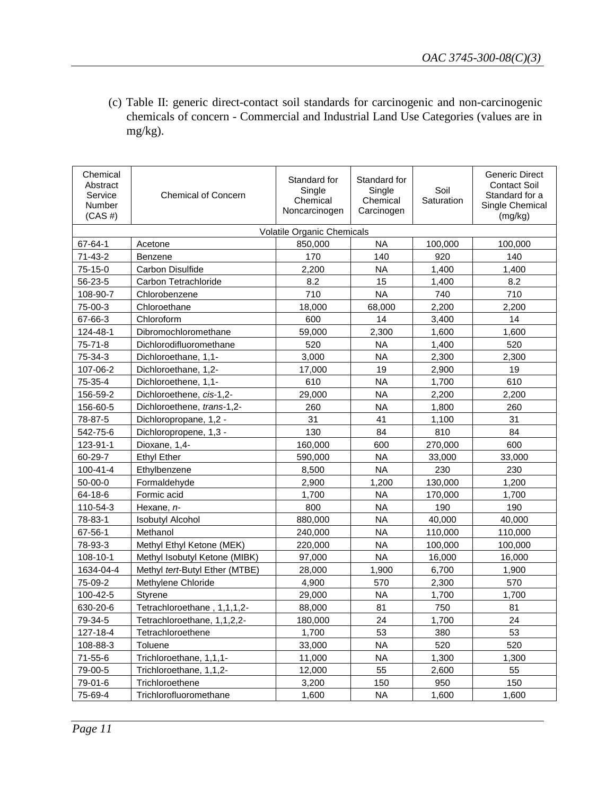(c) Table II: generic direct-contact soil standards for carcinogenic and non-carcinogenic chemicals of concern - Commercial and Industrial Land Use Categories (values are in mg/kg).

| Chemical<br>Abstract<br>Service<br>Number<br>$(CAS \#)$ | <b>Chemical of Concern</b>     | Standard for<br>Single<br>Chemical<br>Noncarcinogen | Standard for<br>Single<br>Chemical<br>Carcinogen | Soil<br>Saturation | <b>Generic Direct</b><br>Contact Soil<br>Standard for a<br>Single Chemical<br>(mg/kg) |
|---------------------------------------------------------|--------------------------------|-----------------------------------------------------|--------------------------------------------------|--------------------|---------------------------------------------------------------------------------------|
|                                                         |                                | Volatile Organic Chemicals                          |                                                  |                    |                                                                                       |
| 67-64-1                                                 | Acetone                        | 850,000                                             | <b>NA</b>                                        | 100,000            | 100,000                                                                               |
| $71 - 43 - 2$                                           | Benzene                        | 170                                                 | 140                                              | 920                | 140                                                                                   |
| 75-15-0                                                 | Carbon Disulfide               | 2,200                                               | <b>NA</b>                                        | 1,400              | 1,400                                                                                 |
| 56-23-5                                                 | Carbon Tetrachloride           | 8.2                                                 | 15                                               | 1,400              | 8.2                                                                                   |
| 108-90-7                                                | Chlorobenzene                  | 710                                                 | <b>NA</b>                                        | 740                | 710                                                                                   |
| 75-00-3                                                 | Chloroethane                   | 18,000                                              | 68,000                                           | 2,200              | 2,200                                                                                 |
| 67-66-3                                                 | Chloroform                     | 600                                                 | 14                                               | 3,400              | 14                                                                                    |
| 124-48-1                                                | Dibromochloromethane           | 59,000                                              | 2,300                                            | 1,600              | 1,600                                                                                 |
| $75 - 71 - 8$                                           | Dichlorodifluoromethane        | 520                                                 | <b>NA</b>                                        | 1,400              | 520                                                                                   |
| 75-34-3                                                 | Dichloroethane, 1,1-           | 3,000                                               | <b>NA</b>                                        | 2,300              | 2,300                                                                                 |
| 107-06-2                                                | Dichloroethane, 1,2-           | 17,000                                              | 19                                               | 2,900              | 19                                                                                    |
| 75-35-4                                                 | Dichloroethene, 1,1-           | 610                                                 | <b>NA</b>                                        | 1,700              | 610                                                                                   |
| 156-59-2                                                | Dichloroethene, cis-1,2-       | 29,000                                              | <b>NA</b>                                        | 2,200              | 2,200                                                                                 |
| 156-60-5                                                | Dichloroethene, trans-1,2-     | 260                                                 | <b>NA</b>                                        | 1,800              | 260                                                                                   |
| 78-87-5                                                 | Dichloropropane, 1,2 -         | 31                                                  | 41                                               | 1,100              | 31                                                                                    |
| 542-75-6                                                | Dichloropropene, 1,3 -         | 130                                                 | 84                                               | 810                | 84                                                                                    |
| 123-91-1                                                | Dioxane, 1,4-                  | 160,000                                             | 600                                              | 270,000            | 600                                                                                   |
| 60-29-7                                                 | <b>Ethyl Ether</b>             | 590,000                                             | <b>NA</b>                                        | 33,000             | 33,000                                                                                |
| 100-41-4                                                | Ethylbenzene                   | 8,500                                               | <b>NA</b>                                        | 230                | 230                                                                                   |
| 50-00-0                                                 | Formaldehyde                   | 2,900                                               | 1,200                                            | 130,000            | 1,200                                                                                 |
| 64-18-6                                                 | Formic acid                    | 1,700                                               | <b>NA</b>                                        | 170,000            | 1,700                                                                                 |
| 110-54-3                                                | Hexane, n-                     | 800                                                 | <b>NA</b>                                        | 190                | 190                                                                                   |
| 78-83-1                                                 | <b>Isobutyl Alcohol</b>        | 880,000                                             | <b>NA</b>                                        | 40,000             | 40,000                                                                                |
| 67-56-1                                                 | Methanol                       | 240,000                                             | <b>NA</b>                                        | 110,000            | 110,000                                                                               |
| 78-93-3                                                 | Methyl Ethyl Ketone (MEK)      | 220,000                                             | <b>NA</b>                                        | 100,000            | 100,000                                                                               |
| 108-10-1                                                | Methyl Isobutyl Ketone (MIBK)  | 97,000                                              | <b>NA</b>                                        | 16,000             | 16,000                                                                                |
| 1634-04-4                                               | Methyl tert-Butyl Ether (MTBE) | 28,000                                              | 1,900                                            | 6,700              | 1,900                                                                                 |
| 75-09-2                                                 | Methylene Chloride             | 4,900                                               | 570                                              | 2,300              | 570                                                                                   |
| 100-42-5                                                | Styrene                        | 29,000                                              | <b>NA</b>                                        | 1,700              | 1,700                                                                                 |
| 630-20-6                                                | Tetrachloroethane, 1,1,1,2-    | 88,000                                              | 81                                               | 750                | 81                                                                                    |
| 79-34-5                                                 | Tetrachloroethane, 1,1,2,2-    | 180,000                                             | 24                                               | 1,700              | 24                                                                                    |
| 127-18-4                                                | Tetrachloroethene              | 1,700                                               | 53                                               | 380                | 53                                                                                    |
| 108-88-3                                                | Toluene                        | 33,000                                              | <b>NA</b>                                        | 520                | 520                                                                                   |
| 71-55-6                                                 | Trichloroethane, 1,1,1-        | 11,000                                              | <b>NA</b>                                        | 1,300              | 1,300                                                                                 |
| 79-00-5                                                 | Trichloroethane, 1,1,2-        | 12,000                                              | 55                                               | 2,600              | 55                                                                                    |
| 79-01-6                                                 | Trichloroethene                | 3,200                                               | 150                                              | 950                | 150                                                                                   |
| 75-69-4                                                 | Trichlorofluoromethane         | 1,600                                               | <b>NA</b>                                        | 1,600              | 1,600                                                                                 |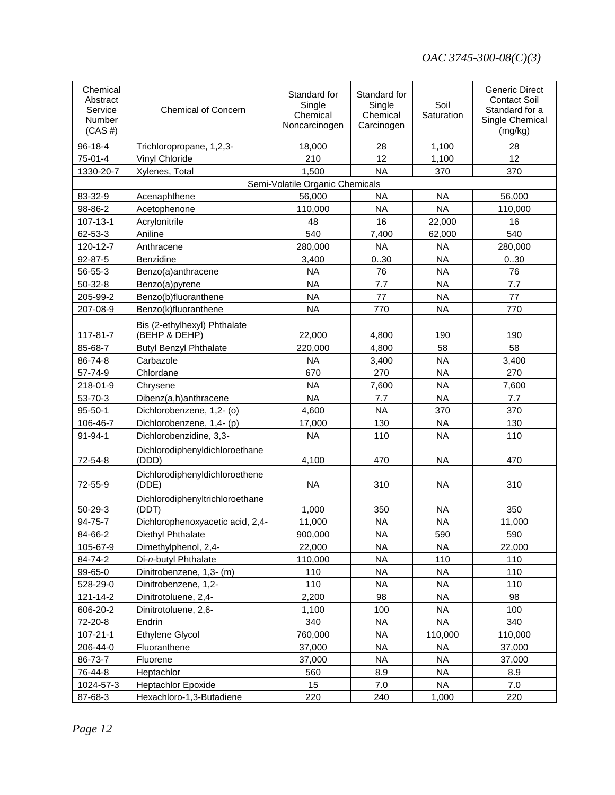| Chemical<br>Abstract<br>Service<br>Number<br>$(CAS \#)$ | <b>Chemical of Concern</b>                    | Standard for<br>Single<br>Chemical<br>Noncarcinogen | Standard for<br>Single<br>Chemical<br>Carcinogen | Soil<br>Saturation | <b>Generic Direct</b><br><b>Contact Soil</b><br>Standard for a<br>Single Chemical<br>(mg/kg) |
|---------------------------------------------------------|-----------------------------------------------|-----------------------------------------------------|--------------------------------------------------|--------------------|----------------------------------------------------------------------------------------------|
| 96-18-4                                                 | Trichloropropane, 1,2,3-                      | 18,000                                              | 28                                               | 1,100              | 28                                                                                           |
| 75-01-4                                                 | Vinyl Chloride                                | 210                                                 | 12                                               | 1,100              | 12                                                                                           |
| 1330-20-7                                               | Xylenes, Total                                | 1,500                                               | <b>NA</b>                                        | 370                | 370                                                                                          |
|                                                         |                                               | Semi-Volatile Organic Chemicals                     |                                                  |                    |                                                                                              |
| 83-32-9                                                 | Acenaphthene                                  | 56,000                                              | <b>NA</b>                                        | <b>NA</b>          | 56,000                                                                                       |
| 98-86-2                                                 | Acetophenone                                  | 110,000                                             | <b>NA</b>                                        | <b>NA</b>          | 110,000                                                                                      |
| 107-13-1                                                | Acrylonitrile                                 | 48                                                  | 16                                               | 22,000             | 16                                                                                           |
| 62-53-3                                                 | Aniline                                       | 540                                                 | 7,400                                            | 62,000             | 540                                                                                          |
| 120-12-7                                                | Anthracene                                    | 280,000                                             | <b>NA</b>                                        | <b>NA</b>          | 280,000                                                                                      |
| 92-87-5                                                 | Benzidine                                     | 3,400                                               | 030                                              | <b>NA</b>          | 0.30                                                                                         |
| 56-55-3                                                 | Benzo(a)anthracene                            | <b>NA</b>                                           | 76                                               | <b>NA</b>          | 76                                                                                           |
| $50-32-8$                                               | Benzo(a)pyrene                                | <b>NA</b>                                           | 7.7                                              | <b>NA</b>          | 7.7                                                                                          |
| 205-99-2                                                | Benzo(b)fluoranthene                          | <b>NA</b>                                           | 77                                               | <b>NA</b>          | 77                                                                                           |
| 207-08-9                                                | Benzo(k)fluoranthene                          | <b>NA</b>                                           | 770                                              | <b>NA</b>          | 770                                                                                          |
| 117-81-7                                                | Bis (2-ethylhexyl) Phthalate<br>(BEHP & DEHP) | 22,000                                              | 4,800                                            | 190                | 190                                                                                          |
| 85-68-7                                                 | <b>Butyl Benzyl Phthalate</b>                 | 220,000                                             | 4,800                                            | 58                 | 58                                                                                           |
| 86-74-8                                                 | Carbazole                                     | <b>NA</b>                                           | 3,400                                            | <b>NA</b>          | 3,400                                                                                        |
| 57-74-9                                                 | Chlordane                                     | 670                                                 | 270                                              | <b>NA</b>          | 270                                                                                          |
| 218-01-9                                                | Chrysene                                      | <b>NA</b>                                           | 7,600                                            | <b>NA</b>          | 7,600                                                                                        |
| 53-70-3                                                 | Dibenz(a,h)anthracene                         | <b>NA</b>                                           | 7.7                                              | <b>NA</b>          | 7.7                                                                                          |
| $95 - 50 - 1$                                           | Dichlorobenzene, 1,2- (o)                     | 4,600                                               | <b>NA</b>                                        | 370                | 370                                                                                          |
| 106-46-7                                                | Dichlorobenzene, 1,4- (p)                     | 17,000                                              | 130                                              | <b>NA</b>          | 130                                                                                          |
| 91-94-1                                                 | Dichlorobenzidine, 3,3-                       | <b>NA</b>                                           | 110                                              | <b>NA</b>          | 110                                                                                          |
| 72-54-8                                                 | Dichlorodiphenyldichloroethane<br>(DDD)       | 4,100                                               | 470                                              | <b>NA</b>          | 470                                                                                          |
| 72-55-9                                                 | Dichlorodiphenyldichloroethene<br>(DDE)       | <b>NA</b>                                           | 310                                              | <b>NA</b>          | 310                                                                                          |
| 50-29-3                                                 | Dichlorodiphenyltrichloroethane<br>(DDT)      | 1,000                                               | 350                                              | <b>NA</b>          | 350                                                                                          |
| 94-75-7                                                 | Dichlorophenoxyacetic acid, 2,4-              | 11,000                                              | <b>NA</b>                                        | <b>NA</b>          | 11,000                                                                                       |
| 84-66-2                                                 | Diethyl Phthalate                             | 900,000                                             | <b>NA</b>                                        | 590                | 590                                                                                          |
| 105-67-9                                                | Dimethylphenol, 2,4-                          | 22,000                                              | <b>NA</b>                                        | <b>NA</b>          | 22,000                                                                                       |
| 84-74-2                                                 | Di-n-butyl Phthalate                          | 110,000                                             | <b>NA</b>                                        | 110                | 110                                                                                          |
| 99-65-0                                                 | Dinitrobenzene, 1,3- (m)                      | 110                                                 | <b>NA</b>                                        | <b>NA</b>          | 110                                                                                          |
| 528-29-0                                                | Dinitrobenzene, 1,2-                          | 110                                                 | NA.                                              | <b>NA</b>          | 110                                                                                          |
| 121-14-2                                                | Dinitrotoluene, 2,4-                          | 2,200                                               | 98                                               | <b>NA</b>          | 98                                                                                           |
| 606-20-2                                                | Dinitrotoluene, 2,6-                          | 1,100                                               | 100                                              | <b>NA</b>          | 100                                                                                          |
| 72-20-8                                                 | Endrin                                        | 340                                                 | <b>NA</b>                                        | <b>NA</b>          | 340                                                                                          |
| $107 - 21 - 1$                                          | Ethylene Glycol                               | 760,000                                             | <b>NA</b>                                        | 110,000            | 110,000                                                                                      |
| 206-44-0                                                | Fluoranthene                                  | 37,000                                              | <b>NA</b>                                        | <b>NA</b>          | 37,000                                                                                       |
| 86-73-7                                                 | Fluorene                                      | 37,000                                              | <b>NA</b>                                        | <b>NA</b>          | 37,000                                                                                       |
| 76-44-8                                                 | Heptachlor                                    | 560                                                 | 8.9                                              | <b>NA</b>          | 8.9                                                                                          |
| 1024-57-3                                               | <b>Heptachlor Epoxide</b>                     | 15                                                  | 7.0                                              | <b>NA</b>          | 7.0                                                                                          |
| 87-68-3                                                 | Hexachloro-1,3-Butadiene                      | 220                                                 | 240                                              | 1,000              | 220                                                                                          |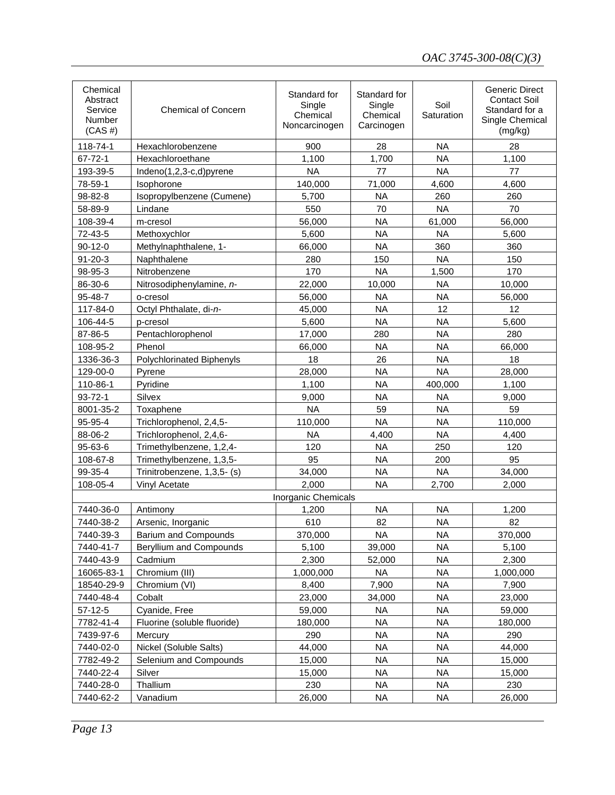| Chemical<br>Abstract<br>Service<br>Number<br>$(CAS \#)$ | <b>Chemical of Concern</b>  | Standard for<br>Single<br>Chemical<br>Noncarcinogen | Standard for<br>Single<br>Chemical<br>Carcinogen | Soil<br>Saturation | <b>Generic Direct</b><br><b>Contact Soil</b><br>Standard for a<br>Single Chemical<br>(mg/kg) |
|---------------------------------------------------------|-----------------------------|-----------------------------------------------------|--------------------------------------------------|--------------------|----------------------------------------------------------------------------------------------|
| 118-74-1                                                | Hexachlorobenzene           | 900                                                 | 28                                               | <b>NA</b>          | 28                                                                                           |
| $67 - 72 - 1$                                           | Hexachloroethane            | 1,100                                               | 1,700                                            | <b>NA</b>          | 1,100                                                                                        |
| 193-39-5                                                | Indeno(1,2,3-c,d)pyrene     | <b>NA</b>                                           | 77                                               | <b>NA</b>          | 77                                                                                           |
| 78-59-1                                                 | Isophorone                  | 140,000                                             | 71,000                                           | 4,600              | 4,600                                                                                        |
| 98-82-8                                                 | Isopropylbenzene (Cumene)   | 5,700                                               | <b>NA</b>                                        | 260                | 260                                                                                          |
| 58-89-9                                                 | Lindane                     | 550                                                 | 70                                               | <b>NA</b>          | 70                                                                                           |
| 108-39-4                                                | m-cresol                    | 56,000                                              | <b>NA</b>                                        | 61,000             | 56,000                                                                                       |
| 72-43-5                                                 | Methoxychlor                | 5,600                                               | <b>NA</b>                                        | <b>NA</b>          | 5,600                                                                                        |
| $90 - 12 - 0$                                           | Methylnaphthalene, 1-       | 66,000                                              | <b>NA</b>                                        | 360                | 360                                                                                          |
| $91 - 20 - 3$                                           | Naphthalene                 | 280                                                 | 150                                              | <b>NA</b>          | 150                                                                                          |
| 98-95-3                                                 | Nitrobenzene                | 170                                                 | <b>NA</b>                                        | 1,500              | 170                                                                                          |
| 86-30-6                                                 | Nitrosodiphenylamine, n-    | 22,000                                              | 10,000                                           | <b>NA</b>          | 10,000                                                                                       |
| 95-48-7                                                 | o-cresol                    | 56,000                                              | <b>NA</b>                                        | <b>NA</b>          | 56,000                                                                                       |
| 117-84-0                                                | Octyl Phthalate, di-n-      | 45,000                                              | <b>NA</b>                                        | 12                 | 12                                                                                           |
| 106-44-5                                                | p-cresol                    | 5,600                                               | <b>NA</b>                                        | <b>NA</b>          | 5,600                                                                                        |
| 87-86-5                                                 | Pentachlorophenol           | 17,000                                              | 280                                              | <b>NA</b>          | 280                                                                                          |
| 108-95-2                                                | Phenol                      | 66,000                                              | <b>NA</b>                                        | <b>NA</b>          | 66,000                                                                                       |
| 1336-36-3                                               | Polychlorinated Biphenyls   | 18                                                  | 26                                               | <b>NA</b>          | 18                                                                                           |
| 129-00-0                                                | Pyrene                      | 28,000                                              | <b>NA</b>                                        | <b>NA</b>          | 28,000                                                                                       |
| 110-86-1                                                | Pyridine                    | 1,100                                               | <b>NA</b>                                        | 400,000            | 1,100                                                                                        |
| $93 - 72 - 1$                                           | Silvex                      | 9,000                                               | <b>NA</b>                                        | <b>NA</b>          | 9,000                                                                                        |
| 8001-35-2                                               | Toxaphene                   | <b>NA</b>                                           | 59                                               | <b>NA</b>          | 59                                                                                           |
| 95-95-4                                                 | Trichlorophenol, 2,4,5-     | 110,000                                             | <b>NA</b>                                        | <b>NA</b>          | 110,000                                                                                      |
| 88-06-2                                                 | Trichlorophenol, 2,4,6-     | <b>NA</b>                                           | 4,400                                            | <b>NA</b>          | 4,400                                                                                        |
| 95-63-6                                                 | Trimethylbenzene, 1,2,4-    | 120                                                 | <b>NA</b>                                        | 250                | 120                                                                                          |
| 108-67-8                                                | Trimethylbenzene, 1,3,5-    | 95                                                  | <b>NA</b>                                        | 200                | 95                                                                                           |
| 99-35-4                                                 | Trinitrobenzene, 1,3,5- (s) | 34,000                                              | <b>NA</b>                                        | <b>NA</b>          | 34,000                                                                                       |
| 108-05-4                                                | Vinyl Acetate               | 2,000                                               | <b>NA</b>                                        | 2,700              | 2,000                                                                                        |
|                                                         |                             | Inorganic Chemicals                                 |                                                  |                    |                                                                                              |
| 7440-36-0                                               | Antimony                    | 1,200                                               | <b>NA</b>                                        | <b>NA</b>          | 1,200                                                                                        |
| 7440-38-2                                               | Arsenic, Inorganic          | 610                                                 | 82                                               | <b>NA</b>          | 82                                                                                           |
| 7440-39-3                                               | Barium and Compounds        | 370,000                                             | <b>NA</b>                                        | <b>NA</b>          | 370,000                                                                                      |
| 7440-41-7                                               | Beryllium and Compounds     | 5,100                                               | 39,000                                           | <b>NA</b>          | 5,100                                                                                        |
| 7440-43-9                                               | Cadmium                     | 2,300                                               | 52,000                                           | <b>NA</b>          | 2,300                                                                                        |
| 16065-83-1                                              | Chromium (III)              | 1,000,000                                           | <b>NA</b>                                        | <b>NA</b>          | 1,000,000                                                                                    |
| 18540-29-9                                              | Chromium (VI)               | 8,400                                               | 7,900                                            | <b>NA</b>          | 7,900                                                                                        |
| 7440-48-4                                               | Cobalt                      | 23,000                                              | 34,000                                           | <b>NA</b>          | 23,000                                                                                       |
| $57 - 12 - 5$                                           | Cyanide, Free               | 59,000                                              | <b>NA</b>                                        | <b>NA</b>          | 59,000                                                                                       |
| 7782-41-4                                               | Fluorine (soluble fluoride) | 180,000                                             | <b>NA</b>                                        | <b>NA</b>          | 180,000                                                                                      |
| 7439-97-6                                               | Mercury                     | 290                                                 | <b>NA</b>                                        | <b>NA</b>          | 290                                                                                          |
| 7440-02-0                                               | Nickel (Soluble Salts)      | 44,000                                              | <b>NA</b>                                        | <b>NA</b>          | 44,000                                                                                       |
| 7782-49-2                                               | Selenium and Compounds      | 15,000                                              | <b>NA</b>                                        | <b>NA</b>          | 15,000                                                                                       |
| 7440-22-4                                               | Silver                      | 15,000                                              | <b>NA</b>                                        | <b>NA</b>          | 15,000                                                                                       |
| 7440-28-0                                               | Thallium                    | 230                                                 | <b>NA</b>                                        | <b>NA</b>          | 230                                                                                          |
| 7440-62-2                                               | Vanadium                    | 26,000                                              | <b>NA</b>                                        | <b>NA</b>          | 26,000                                                                                       |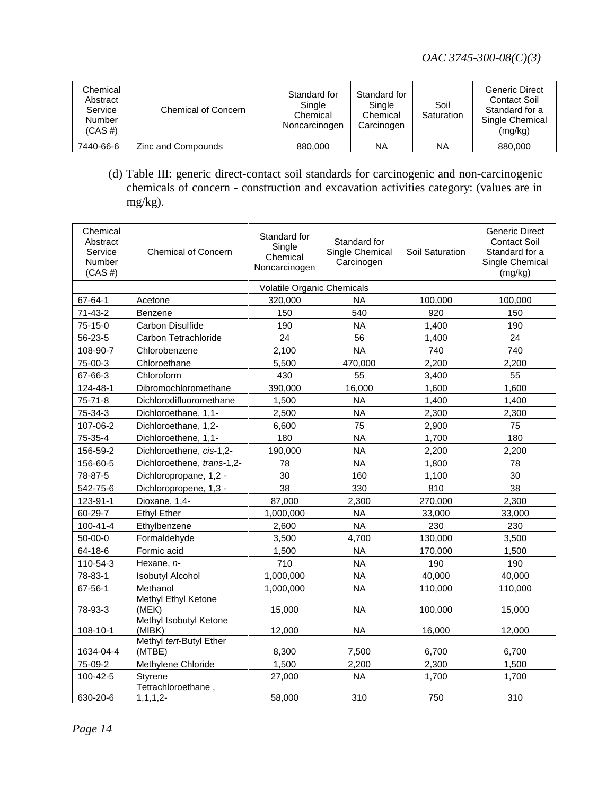| Chemical<br>Abstract<br>Service<br>Number<br>$(CAS \#)$ | Chemical of Concern | Standard for<br>Single<br>Chemical<br>Noncarcinogen | Standard for<br>Single<br>Chemical<br>Carcinogen | Soil<br>Saturation | <b>Generic Direct</b><br>Contact Soil<br>Standard for a<br>Single Chemical<br>(mg/kg) |
|---------------------------------------------------------|---------------------|-----------------------------------------------------|--------------------------------------------------|--------------------|---------------------------------------------------------------------------------------|
| 7440-66-6                                               | Zinc and Compounds  | 880,000                                             | NA                                               | ΝA                 | 880,000                                                                               |

(d) Table III: generic direct-contact soil standards for carcinogenic and non-carcinogenic chemicals of concern - construction and excavation activities category: (values are in mg/kg).

| Chemical<br>Abstract<br>Service<br>Number<br>$(CAS \#)$ | <b>Chemical of Concern</b>       | Standard for<br>Single<br>Chemical<br>Noncarcinogen | Standard for<br>Single Chemical<br>Carcinogen | Soil Saturation | <b>Generic Direct</b><br><b>Contact Soil</b><br>Standard for a<br>Single Chemical<br>(mg/kg) |  |  |
|---------------------------------------------------------|----------------------------------|-----------------------------------------------------|-----------------------------------------------|-----------------|----------------------------------------------------------------------------------------------|--|--|
|                                                         | Volatile Organic Chemicals       |                                                     |                                               |                 |                                                                                              |  |  |
| 67-64-1                                                 | Acetone                          | 320,000                                             | <b>NA</b>                                     | 100,000         | 100,000                                                                                      |  |  |
| $71 - 43 - 2$                                           | <b>Benzene</b>                   | 150                                                 | 540                                           | 920             | 150                                                                                          |  |  |
| 75-15-0                                                 | Carbon Disulfide                 | 190                                                 | NA                                            | 1.400           | 190                                                                                          |  |  |
| 56-23-5                                                 | Carbon Tetrachloride             | 24                                                  | 56                                            | 1,400           | 24                                                                                           |  |  |
| 108-90-7                                                | Chlorobenzene                    | 2,100                                               | <b>NA</b>                                     | 740             | 740                                                                                          |  |  |
| 75-00-3                                                 | Chloroethane                     | 5,500                                               | 470,000                                       | 2,200           | 2,200                                                                                        |  |  |
| 67-66-3                                                 | Chloroform                       | 430                                                 | 55                                            | 3,400           | 55                                                                                           |  |  |
| 124-48-1                                                | Dibromochloromethane             | 390,000                                             | 16,000                                        | 1,600           | 1,600                                                                                        |  |  |
| $75 - 71 - 8$                                           | Dichlorodifluoromethane          | 1,500                                               | NA                                            | 1,400           | 1,400                                                                                        |  |  |
| 75-34-3                                                 | Dichloroethane, 1,1-             | 2,500                                               | <b>NA</b>                                     | 2,300           | 2,300                                                                                        |  |  |
| 107-06-2                                                | Dichloroethane, 1,2-             | 6,600                                               | 75                                            | 2,900           | 75                                                                                           |  |  |
| 75-35-4                                                 | Dichloroethene, 1,1-             | 180                                                 | <b>NA</b>                                     | 1,700           | 180                                                                                          |  |  |
| 156-59-2                                                | Dichloroethene, cis-1,2-         | 190,000                                             | <b>NA</b>                                     | 2,200           | 2,200                                                                                        |  |  |
| 156-60-5                                                | Dichloroethene, trans-1,2-       | 78                                                  | <b>NA</b>                                     | 1,800           | 78                                                                                           |  |  |
| 78-87-5                                                 | Dichloropropane, 1,2 -           | 30                                                  | 160                                           | 1,100           | 30                                                                                           |  |  |
| 542-75-6                                                | Dichloropropene, 1,3 -           | 38                                                  | 330                                           | 810             | 38                                                                                           |  |  |
| 123-91-1                                                | Dioxane, 1,4-                    | 87,000                                              | 2,300                                         | 270,000         | 2,300                                                                                        |  |  |
| 60-29-7                                                 | <b>Ethyl Ether</b>               | 1,000,000                                           | <b>NA</b>                                     | 33,000          | 33,000                                                                                       |  |  |
| 100-41-4                                                | Ethylbenzene                     | 2,600                                               | <b>NA</b>                                     | 230             | 230                                                                                          |  |  |
| 50-00-0                                                 | Formaldehyde                     | 3,500                                               | 4,700                                         | 130,000         | 3,500                                                                                        |  |  |
| 64-18-6                                                 | Formic acid                      | 1,500                                               | <b>NA</b>                                     | 170,000         | 1,500                                                                                        |  |  |
| 110-54-3                                                | Hexane, n-                       | 710                                                 | <b>NA</b>                                     | 190             | 190                                                                                          |  |  |
| 78-83-1                                                 | <b>Isobutyl Alcohol</b>          | 1,000,000                                           | <b>NA</b>                                     | 40,000          | 40,000                                                                                       |  |  |
| 67-56-1                                                 | Methanol                         | 1,000,000                                           | <b>NA</b>                                     | 110,000         | 110,000                                                                                      |  |  |
|                                                         | Methyl Ethyl Ketone              |                                                     |                                               |                 |                                                                                              |  |  |
| 78-93-3                                                 | (MEK)<br>Methyl Isobutyl Ketone  | 15,000                                              | <b>NA</b>                                     | 100,000         | 15,000                                                                                       |  |  |
| 108-10-1                                                | (MIBK)                           | 12,000                                              | <b>NA</b>                                     | 16,000          | 12,000                                                                                       |  |  |
|                                                         | Methyl tert-Butyl Ether          |                                                     |                                               |                 |                                                                                              |  |  |
| 1634-04-4                                               | (MTBE)                           | 8,300                                               | 7,500                                         | 6,700           | 6.700                                                                                        |  |  |
| 75-09-2                                                 | Methylene Chloride               | 1,500                                               | 2,200                                         | 2,300           | 1,500                                                                                        |  |  |
| 100-42-5                                                | <b>Styrene</b>                   | 27,000                                              | <b>NA</b>                                     | 1,700           | 1,700                                                                                        |  |  |
| 630-20-6                                                | Tetrachloroethane,<br>1, 1, 1, 2 | 58,000                                              | 310                                           | 750             | 310                                                                                          |  |  |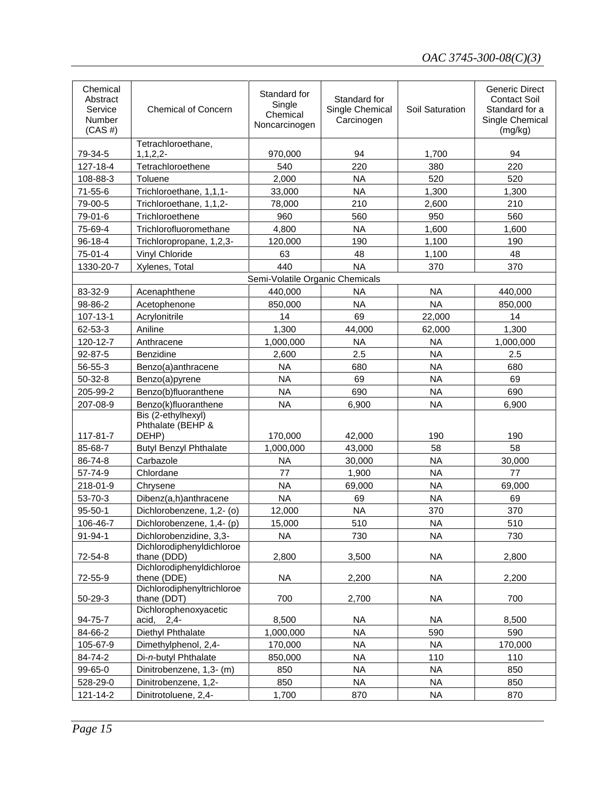| Chemical<br>Abstract<br>Service<br>Number<br>$(CAS \#)$ | <b>Chemical of Concern</b>                 | Standard for<br>Single<br>Chemical<br>Noncarcinogen | Standard for<br>Single Chemical<br>Carcinogen | Soil Saturation        | <b>Generic Direct</b><br><b>Contact Soil</b><br>Standard for a<br>Single Chemical<br>(mg/kg) |
|---------------------------------------------------------|--------------------------------------------|-----------------------------------------------------|-----------------------------------------------|------------------------|----------------------------------------------------------------------------------------------|
| 79-34-5                                                 | Tetrachloroethane,<br>1, 1, 2, 2           | 970,000                                             | 94                                            | 1,700                  | 94                                                                                           |
| 127-18-4                                                | Tetrachloroethene                          | 540                                                 | 220                                           | 380                    | 220                                                                                          |
| 108-88-3                                                | Toluene                                    | 2,000                                               | <b>NA</b>                                     | 520                    | 520                                                                                          |
| $71 - 55 - 6$                                           | Trichloroethane, 1,1,1-                    | 33,000                                              | <b>NA</b>                                     | 1,300                  | 1,300                                                                                        |
| 79-00-5                                                 | Trichloroethane, 1,1,2-                    | 78,000                                              | 210                                           | 2,600                  | 210                                                                                          |
| 79-01-6                                                 | Trichloroethene                            | 960                                                 | 560                                           | 950                    | 560                                                                                          |
| 75-69-4                                                 | Trichlorofluoromethane                     | 4,800                                               | <b>NA</b>                                     | 1,600                  | 1,600                                                                                        |
| $96 - 18 - 4$                                           | Trichloropropane, 1,2,3-                   | 120,000                                             | 190                                           | 1,100                  | 190                                                                                          |
| 75-01-4                                                 | Vinyl Chloride                             | 63                                                  | 48                                            | 1,100                  | 48                                                                                           |
| 1330-20-7                                               | Xylenes, Total                             | 440                                                 | <b>NA</b>                                     | 370                    | 370                                                                                          |
|                                                         |                                            | Semi-Volatile Organic Chemicals                     |                                               |                        |                                                                                              |
| 83-32-9                                                 | Acenaphthene                               | 440,000                                             | <b>NA</b>                                     | <b>NA</b>              | 440,000                                                                                      |
| 98-86-2                                                 | Acetophenone                               | 850,000                                             | <b>NA</b>                                     | <b>NA</b>              | 850,000                                                                                      |
| 107-13-1                                                | Acrylonitrile                              | 14                                                  | 69                                            | 22,000                 | 14                                                                                           |
| 62-53-3                                                 | Aniline                                    | 1,300                                               | 44,000                                        | 62,000                 | 1,300                                                                                        |
| 120-12-7                                                | Anthracene                                 | 1,000,000                                           | <b>NA</b>                                     | <b>NA</b>              | 1,000,000                                                                                    |
| 92-87-5                                                 | Benzidine                                  | 2,600                                               | 2.5                                           | <b>NA</b>              | 2.5                                                                                          |
| 56-55-3                                                 | Benzo(a)anthracene                         | <b>NA</b>                                           | 680                                           | <b>NA</b>              | 680                                                                                          |
| $50 - 32 - 8$                                           | Benzo(a)pyrene                             | <b>NA</b>                                           | 69                                            | <b>NA</b>              | 69                                                                                           |
| 205-99-2                                                | Benzo(b)fluoranthene                       | <b>NA</b>                                           | 690                                           | <b>NA</b>              | 690                                                                                          |
| 207-08-9                                                | Benzo(k)fluoranthene                       | <b>NA</b>                                           | 6,900                                         | <b>NA</b>              | 6,900                                                                                        |
|                                                         | Bis (2-ethylhexyl)                         |                                                     |                                               |                        |                                                                                              |
|                                                         | Phthalate (BEHP &                          |                                                     |                                               |                        |                                                                                              |
| 117-81-7<br>85-68-7                                     | DEHP)                                      | 170,000<br>1,000,000                                | 42,000<br>43,000                              | 190<br>58              | 190<br>58                                                                                    |
|                                                         | <b>Butyl Benzyl Phthalate</b><br>Carbazole |                                                     |                                               | <b>NA</b>              |                                                                                              |
| 86-74-8                                                 |                                            | <b>NA</b><br>77                                     | 30,000<br>1,900                               |                        | 30,000<br>77                                                                                 |
| 57-74-9                                                 | Chlordane                                  | <b>NA</b>                                           |                                               | <b>NA</b>              |                                                                                              |
| 218-01-9<br>53-70-3                                     | Chrysene<br>Dibenz(a,h)anthracene          | <b>NA</b>                                           | 69,000<br>69                                  | <b>NA</b><br><b>NA</b> | 69,000<br>69                                                                                 |
| $95 - 50 - 1$                                           | Dichlorobenzene, 1,2- (o)                  |                                                     | <b>NA</b>                                     |                        |                                                                                              |
| 106-46-7                                                | Dichlorobenzene, 1,4- (p)                  | 12,000<br>15,000                                    | 510                                           | 370<br><b>NA</b>       | 370<br>510                                                                                   |
| $91 - 94 - 1$                                           | Dichlorobenzidine, 3,3-                    | <b>NA</b>                                           | 730                                           | <b>NA</b>              | 730                                                                                          |
|                                                         | Dichlorodiphenyldichloroe                  |                                                     |                                               |                        |                                                                                              |
| 72-54-8                                                 | thane (DDD)                                | 2,800                                               | 3,500                                         | <b>NA</b>              | 2,800                                                                                        |
|                                                         | Dichlorodiphenyldichloroe                  |                                                     |                                               |                        |                                                                                              |
| 72-55-9                                                 | thene (DDE)                                | <b>NA</b>                                           | 2,200                                         | <b>NA</b>              | 2,200                                                                                        |
| $50 - 29 - 3$                                           | Dichlorodiphenyltrichloroe<br>thane (DDT)  | 700                                                 | 2,700                                         | <b>NA</b>              | 700                                                                                          |
| 94-75-7                                                 | Dichlorophenoxyacetic<br>acid,<br>$2,4-$   | 8,500                                               | <b>NA</b>                                     | <b>NA</b>              | 8,500                                                                                        |
| 84-66-2                                                 | Diethyl Phthalate                          | 1,000,000                                           | <b>NA</b>                                     | 590                    | 590                                                                                          |
| 105-67-9                                                | Dimethylphenol, 2,4-                       | 170,000                                             | <b>NA</b>                                     | <b>NA</b>              | 170,000                                                                                      |
| 84-74-2                                                 | Di-n-butyl Phthalate                       | 850,000                                             | <b>NA</b>                                     | 110                    | 110                                                                                          |
| 99-65-0                                                 | Dinitrobenzene, 1,3- (m)                   | 850                                                 | <b>NA</b>                                     | <b>NA</b>              | 850                                                                                          |
| 528-29-0                                                | Dinitrobenzene, 1,2-                       | 850                                                 | <b>NA</b>                                     | <b>NA</b>              | 850                                                                                          |
| 121-14-2                                                | Dinitrotoluene, 2,4-                       | 1,700                                               | 870                                           | <b>NA</b>              | 870                                                                                          |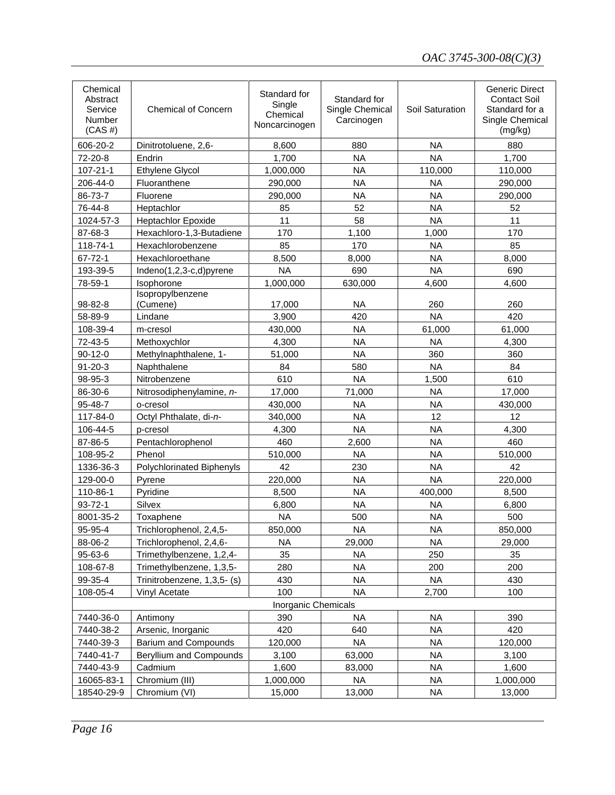| Chemical<br>Abstract<br>Service<br>Number<br>$(CAS \#)$ | <b>Chemical of Concern</b>  | Standard for<br>Single<br>Chemical<br>Noncarcinogen | Standard for<br>Single Chemical<br>Carcinogen | Soil Saturation | <b>Generic Direct</b><br><b>Contact Soil</b><br>Standard for a<br>Single Chemical<br>(mg/kg) |
|---------------------------------------------------------|-----------------------------|-----------------------------------------------------|-----------------------------------------------|-----------------|----------------------------------------------------------------------------------------------|
| 606-20-2                                                | Dinitrotoluene, 2,6-        | 8,600                                               | 880                                           | <b>NA</b>       | 880                                                                                          |
| 72-20-8                                                 | Endrin                      | 1,700                                               | <b>NA</b>                                     | <b>NA</b>       | 1,700                                                                                        |
| $107 - 21 - 1$                                          | Ethylene Glycol             | 1,000,000                                           | <b>NA</b>                                     | 110,000         | 110,000                                                                                      |
| 206-44-0                                                | Fluoranthene                | 290,000                                             | <b>NA</b>                                     | <b>NA</b>       | 290,000                                                                                      |
| 86-73-7                                                 | Fluorene                    | 290,000                                             | <b>NA</b>                                     | <b>NA</b>       | 290,000                                                                                      |
| 76-44-8                                                 | Heptachlor                  | 85                                                  | 52                                            | <b>NA</b>       | 52                                                                                           |
| 1024-57-3                                               | <b>Heptachlor Epoxide</b>   | 11                                                  | 58                                            | <b>NA</b>       | 11                                                                                           |
| 87-68-3                                                 | Hexachloro-1,3-Butadiene    | 170                                                 | 1,100                                         | 1,000           | 170                                                                                          |
| 118-74-1                                                | Hexachlorobenzene           | 85                                                  | 170                                           | <b>NA</b>       | 85                                                                                           |
| 67-72-1                                                 | Hexachloroethane            | 8,500                                               | 8,000                                         | <b>NA</b>       | 8,000                                                                                        |
| 193-39-5                                                | Indeno(1,2,3-c,d)pyrene     | <b>NA</b>                                           | 690                                           | <b>NA</b>       | 690                                                                                          |
| 78-59-1                                                 | Isophorone                  | 1,000,000                                           | 630,000                                       | 4,600           | 4,600                                                                                        |
|                                                         | Isopropylbenzene            |                                                     |                                               |                 |                                                                                              |
| 98-82-8                                                 | (Cumene)                    | 17,000                                              | <b>NA</b>                                     | 260             | 260                                                                                          |
| 58-89-9                                                 | Lindane                     | 3,900                                               | 420                                           | <b>NA</b>       | 420                                                                                          |
| 108-39-4                                                | m-cresol                    | 430,000                                             | <b>NA</b>                                     | 61,000          | 61,000                                                                                       |
| 72-43-5                                                 | Methoxychlor                | 4,300                                               | <b>NA</b>                                     | <b>NA</b>       | 4,300                                                                                        |
| $90 - 12 - 0$                                           | Methylnaphthalene, 1-       | 51,000                                              | <b>NA</b>                                     | 360             | 360                                                                                          |
| $91 - 20 - 3$                                           | Naphthalene                 | 84                                                  | 580                                           | <b>NA</b>       | 84                                                                                           |
| 98-95-3                                                 | Nitrobenzene                | 610                                                 | <b>NA</b>                                     | 1,500           | 610                                                                                          |
| 86-30-6                                                 | Nitrosodiphenylamine, n-    | 17,000                                              | 71,000                                        | <b>NA</b>       | 17,000                                                                                       |
| 95-48-7                                                 | o-cresol                    | 430,000                                             | <b>NA</b>                                     | <b>NA</b>       | 430,000                                                                                      |
| 117-84-0                                                | Octyl Phthalate, di-n-      | 340,000                                             | <b>NA</b>                                     | 12              | 12                                                                                           |
| 106-44-5                                                | p-cresol                    | 4,300                                               | <b>NA</b>                                     | <b>NA</b>       | 4,300                                                                                        |
| 87-86-5                                                 | Pentachlorophenol           | 460                                                 | 2,600                                         | <b>NA</b>       | 460                                                                                          |
| 108-95-2                                                | Phenol                      | 510,000                                             | <b>NA</b>                                     | <b>NA</b>       | 510,000                                                                                      |
| 1336-36-3                                               | Polychlorinated Biphenyls   | 42                                                  | 230                                           | <b>NA</b>       | 42                                                                                           |
| 129-00-0                                                | Pyrene                      | 220,000                                             | <b>NA</b>                                     | <b>NA</b>       | 220,000                                                                                      |
| 110-86-1                                                | Pyridine                    | 8,500                                               | <b>NA</b>                                     | 400,000         | 8,500                                                                                        |
| $93 - 72 - 1$                                           | Silvex                      | 6,800                                               | <b>NA</b>                                     | <b>NA</b>       | 6,800                                                                                        |
| 8001-35-2                                               | Toxaphene                   | <b>NA</b>                                           | 500                                           | <b>NA</b>       | 500                                                                                          |
| 95-95-4                                                 | Trichlorophenol, 2,4,5-     | 850,000                                             | <b>NA</b>                                     | <b>NA</b>       | 850,000                                                                                      |
| 88-06-2                                                 | Trichlorophenol, 2,4,6-     | NA.                                                 | 29,000                                        | <b>NA</b>       | 29,000                                                                                       |
| 95-63-6                                                 | Trimethylbenzene, 1,2,4-    | 35                                                  | <b>NA</b>                                     | 250             | 35                                                                                           |
| 108-67-8                                                | Trimethylbenzene, 1,3,5-    | 280                                                 | <b>NA</b>                                     | 200             | 200                                                                                          |
| 99-35-4                                                 | Trinitrobenzene, 1,3,5- (s) | 430                                                 | <b>NA</b>                                     | <b>NA</b>       | 430                                                                                          |
| 108-05-4                                                | Vinyl Acetate               | 100                                                 | <b>NA</b>                                     | 2,700           | 100                                                                                          |
|                                                         |                             | <b>Inorganic Chemicals</b>                          |                                               |                 |                                                                                              |
| 7440-36-0                                               | Antimony                    | 390                                                 | <b>NA</b>                                     | <b>NA</b>       | 390                                                                                          |
| 7440-38-2                                               | Arsenic, Inorganic          | 420                                                 | 640                                           | <b>NA</b>       | 420                                                                                          |
| 7440-39-3                                               | <b>Barium and Compounds</b> | 120,000                                             | <b>NA</b>                                     | <b>NA</b>       | 120,000                                                                                      |
| 7440-41-7                                               | Beryllium and Compounds     | 3,100                                               | 63,000                                        | <b>NA</b>       | 3,100                                                                                        |
| 7440-43-9                                               | Cadmium                     | 1,600                                               | 83,000                                        | <b>NA</b>       | 1,600                                                                                        |
| 16065-83-1                                              | Chromium (III)              | 1,000,000                                           | <b>NA</b>                                     | <b>NA</b>       | 1,000,000                                                                                    |
| 18540-29-9                                              | Chromium (VI)               | 15,000                                              | 13,000                                        | <b>NA</b>       | 13,000                                                                                       |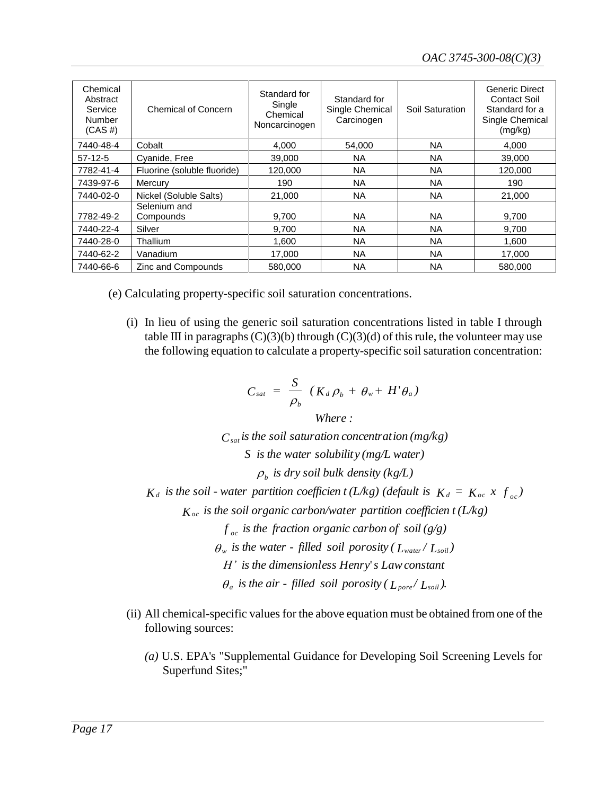| Chemical<br>Abstract<br>Service<br>Number<br>$(CAS \#)$ | <b>Chemical of Concern</b>  | Standard for<br>Single<br>Chemical<br>Noncarcinogen | Standard for<br>Single Chemical<br>Carcinogen | Soil Saturation | <b>Generic Direct</b><br>Contact Soil<br>Standard for a<br>Single Chemical<br>(mg/kg) |
|---------------------------------------------------------|-----------------------------|-----------------------------------------------------|-----------------------------------------------|-----------------|---------------------------------------------------------------------------------------|
| 7440-48-4                                               | Cobalt                      | 4,000                                               | 54.000                                        | <b>NA</b>       | 4.000                                                                                 |
| $57-12-5$                                               | Cyanide, Free               | 39,000                                              | <b>NA</b>                                     | <b>NA</b>       | 39,000                                                                                |
| 7782-41-4                                               | Fluorine (soluble fluoride) | 120,000                                             | <b>NA</b>                                     | <b>NA</b>       | 120,000                                                                               |
| 7439-97-6                                               | Mercury                     | 190                                                 | <b>NA</b>                                     | <b>NA</b>       | 190                                                                                   |
| 7440-02-0                                               | Nickel (Soluble Salts)      | 21.000                                              | <b>NA</b>                                     | <b>NA</b>       | 21.000                                                                                |
| 7782-49-2                                               | Selenium and<br>Compounds   | 9,700                                               | <b>NA</b>                                     | <b>NA</b>       | 9,700                                                                                 |
| 7440-22-4                                               | Silver                      | 9.700                                               | <b>NA</b>                                     | <b>NA</b>       | 9.700                                                                                 |
| 7440-28-0                                               | Thallium                    | 1,600                                               | <b>NA</b>                                     | <b>NA</b>       | 1,600                                                                                 |
| 7440-62-2                                               | Vanadium                    | 17,000                                              | <b>NA</b>                                     | <b>NA</b>       | 17,000                                                                                |
| 7440-66-6                                               | Zinc and Compounds          | 580,000                                             | <b>NA</b>                                     | ΝA              | 580.000                                                                               |

(e) Calculating property-specific soil saturation concentrations.

(i) In lieu of using the generic soil saturation concentrations listed in table I through table III in paragraphs  $(C)(3)(b)$  through  $(C)(3)(d)$  of this rule, the volunteer may use the following equation to calculate a property-specific soil saturation concentration:

$$
C_{sat} = \frac{S}{\rho_b} \left( K_d \rho_b + \theta_w + H' \theta_a \right)
$$

*Where :*

 $C_{\textit{sat}}$  *is the soil saturation concentration* ( $mg/kg$ )

*S is the water solubility (mg/L water)*

 $\rho_{\scriptscriptstyle b}$  *is dry soil bulk density (kg/L)* 

*K<sub>d</sub>* is the soil *-* water partition coefficien *t* (L/kg) (default is  $K_d = K_{oc} \times f_{oc}$ )

*K is the soil organic carbon/water partition coefficien t (L/kg) o c*

 $f_{oc}$  *is the fraction organic carbon of soil*  $(g/g)$ *o c*

 $\theta_w$  *is the water - filled soil porosity (* $L_{\text{water}} / L_{\text{solid}}$ *)* 

' *H' is the dimensionless Henry s Lawconstant*

 $\theta_a$  is the air - filled soil porosity ( $L_{pore} / L_{soli}$ ).

- (ii) All chemical-specific values for the above equation must be obtained from one of the following sources:
	- *(a)* U.S. EPA's "Supplemental Guidance for Developing Soil Screening Levels for Superfund Sites;"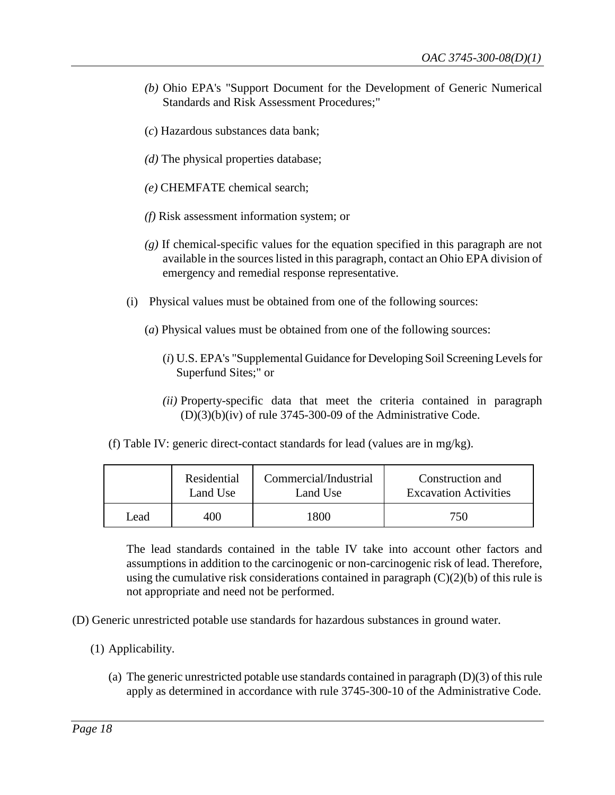- *(b)* Ohio EPA's "Support Document for the Development of Generic Numerical Standards and Risk Assessment Procedures;"
- (*c*) Hazardous substances data bank;
- *(d)* The physical properties database;
- *(e)* CHEMFATE chemical search;
- *(f)* Risk assessment information system; or
- *(g)* If chemical-specific values for the equation specified in this paragraph are not available in the sources listed in this paragraph, contact an Ohio EPA division of emergency and remedial response representative.
- (i) Physical values must be obtained from one of the following sources:
	- (*a*) Physical values must be obtained from one of the following sources:
		- (*i*) U.S. EPA's "Supplemental Guidance for Developing Soil Screening Levels for Superfund Sites;" or
		- *(ii)* Property-specific data that meet the criteria contained in paragraph (D)(3)(b)(iv) of rule 3745-300-09 of the Administrative Code.
- (f) Table IV: generic direct-contact standards for lead (values are in mg/kg).

|      | Residential | Commercial/Industrial | Construction and             |
|------|-------------|-----------------------|------------------------------|
|      | Land Use    | Land Use              | <b>Excavation Activities</b> |
| Lead | 400         | 1800                  | 750                          |

The lead standards contained in the table IV take into account other factors and assumptions in addition to the carcinogenic or non-carcinogenic risk of lead. Therefore, using the cumulative risk considerations contained in paragraph  $(C)(2)(b)$  of this rule is not appropriate and need not be performed.

- (D) Generic unrestricted potable use standards for hazardous substances in ground water.
	- (1) Applicability.
		- (a) The generic unrestricted potable use standards contained in paragraph (D)(3) of this rule apply as determined in accordance with rule 3745-300-10 of the Administrative Code.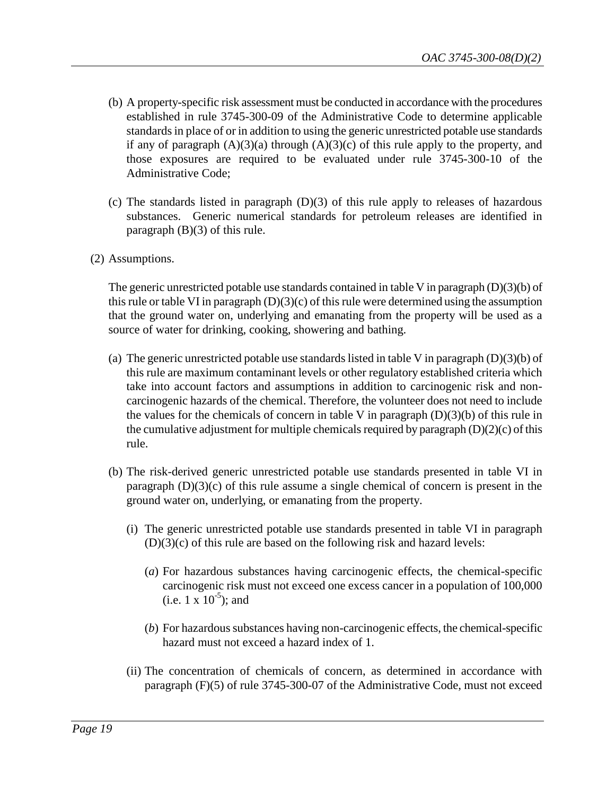- (b) A property-specific risk assessment must be conducted in accordance with the procedures established in rule 3745-300-09 of the Administrative Code to determine applicable standards in place of or in addition to using the generic unrestricted potable use standards if any of paragraph  $(A)(3)(a)$  through  $(A)(3)(c)$  of this rule apply to the property, and those exposures are required to be evaluated under rule 3745-300-10 of the Administrative Code;
- (c) The standards listed in paragraph  $(D)(3)$  of this rule apply to releases of hazardous substances. Generic numerical standards for petroleum releases are identified in paragraph (B)(3) of this rule.
- (2) Assumptions.

The generic unrestricted potable use standards contained in table V in paragraph  $(D)(3)(b)$  of this rule or table VI in paragraph  $(D)(3)(c)$  of this rule were determined using the assumption that the ground water on, underlying and emanating from the property will be used as a source of water for drinking, cooking, showering and bathing.

- (a) The generic unrestricted potable use standards listed in table V in paragraph (D)(3)(b) of this rule are maximum contaminant levels or other regulatory established criteria which take into account factors and assumptions in addition to carcinogenic risk and noncarcinogenic hazards of the chemical. Therefore, the volunteer does not need to include the values for the chemicals of concern in table V in paragraph  $(D)(3)(b)$  of this rule in the cumulative adjustment for multiple chemicals required by paragraph  $(D)(2)(c)$  of this rule.
- (b) The risk-derived generic unrestricted potable use standards presented in table VI in paragraph (D)(3)(c) of this rule assume a single chemical of concern is present in the ground water on, underlying, or emanating from the property.
	- (i) The generic unrestricted potable use standards presented in table VI in paragraph  $(D)(3)(c)$  of this rule are based on the following risk and hazard levels:
		- (*a*) For hazardous substances having carcinogenic effects, the chemical-specific carcinogenic risk must not exceed one excess cancer in a population of 100,000 (i.e.  $1 \times 10^{-5}$ ); and
		- (*b*) For hazardous substances having non-carcinogenic effects, the chemical-specific hazard must not exceed a hazard index of 1.
	- (ii) The concentration of chemicals of concern, as determined in accordance with paragraph (F)(5) of rule 3745-300-07 of the Administrative Code, must not exceed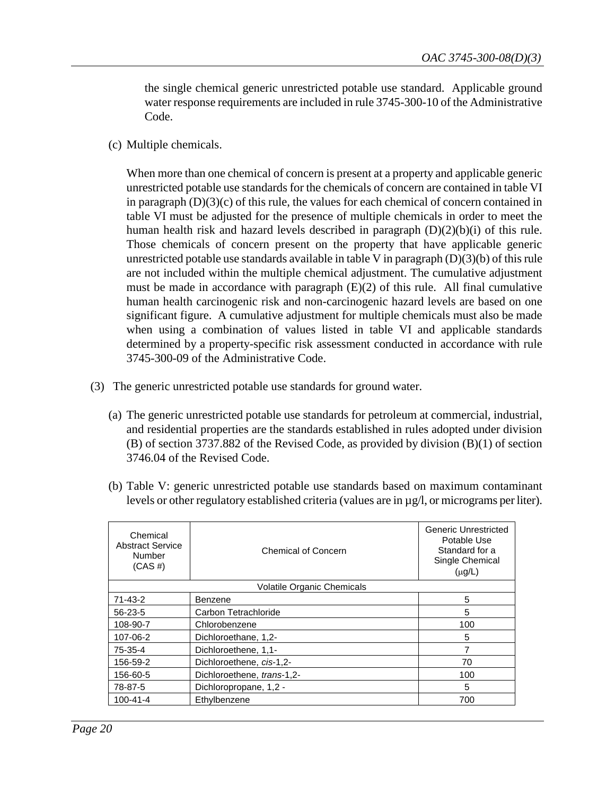the single chemical generic unrestricted potable use standard. Applicable ground water response requirements are included in rule 3745-300-10 of the Administrative Code.

(c) Multiple chemicals.

When more than one chemical of concern is present at a property and applicable generic unrestricted potable use standards for the chemicals of concern are contained in table VI in paragraph  $(D)(3)(c)$  of this rule, the values for each chemical of concern contained in table VI must be adjusted for the presence of multiple chemicals in order to meet the human health risk and hazard levels described in paragraph  $(D)(2)(b)(i)$  of this rule. Those chemicals of concern present on the property that have applicable generic unrestricted potable use standards available in table V in paragraph (D)(3)(b) of this rule are not included within the multiple chemical adjustment. The cumulative adjustment must be made in accordance with paragraph (E)(2) of this rule. All final cumulative human health carcinogenic risk and non-carcinogenic hazard levels are based on one significant figure. A cumulative adjustment for multiple chemicals must also be made when using a combination of values listed in table VI and applicable standards determined by a property-specific risk assessment conducted in accordance with rule 3745-300-09 of the Administrative Code.

- (3) The generic unrestricted potable use standards for ground water.
	- (a) The generic unrestricted potable use standards for petroleum at commercial, industrial, and residential properties are the standards established in rules adopted under division (B) of section 3737.882 of the Revised Code, as provided by division (B)(1) of section 3746.04 of the Revised Code.

| Chemical<br><b>Abstract Service</b><br>Number<br>$(CAS \#)$ | <b>Chemical of Concern</b> | Generic Unrestricted<br>Potable Use<br>Standard for a<br>Single Chemical<br>$(\mu g/L)$ |
|-------------------------------------------------------------|----------------------------|-----------------------------------------------------------------------------------------|
|                                                             | Volatile Organic Chemicals |                                                                                         |
| $71 - 43 - 2$                                               | Benzene                    | 5                                                                                       |
| $56 - 23 - 5$                                               | Carbon Tetrachloride       | 5                                                                                       |
| 108-90-7                                                    | Chlorobenzene              | 100                                                                                     |
| 107-06-2                                                    | Dichloroethane, 1,2-       | 5                                                                                       |
| 75-35-4                                                     | Dichloroethene, 1,1-       |                                                                                         |
| 156-59-2                                                    | Dichloroethene, cis-1,2-   | 70                                                                                      |
| 156-60-5                                                    | Dichloroethene, trans-1,2- | 100                                                                                     |

78-87-5 Dichloropropane, 1,2 - 5 100-41-4 | Ethylbenzene | 700

(b) Table V: generic unrestricted potable use standards based on maximum contaminant levels or other regulatory established criteria (values are in µg/l, or micrograms per liter).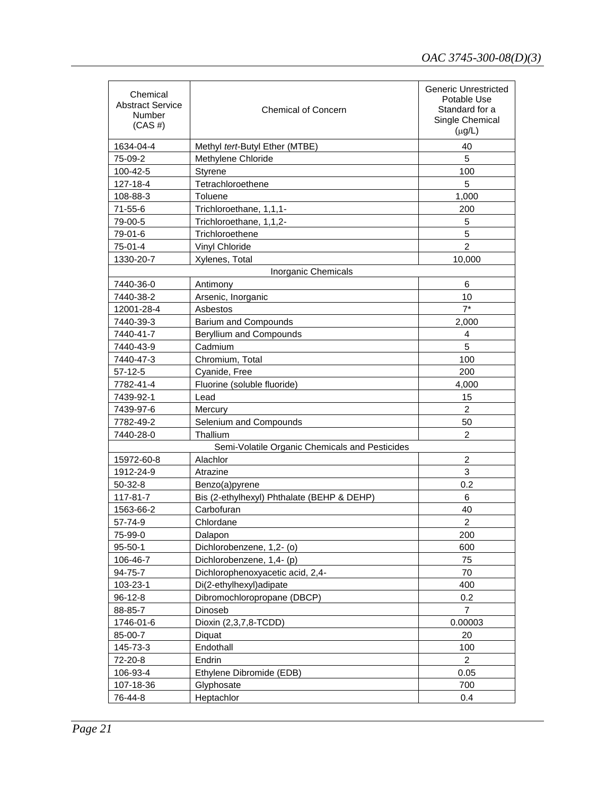| Chemical<br>Abstract Service<br><b>Number</b><br>$(CAS \#)$ | <b>Chemical of Concern</b>                     | Generic Unrestricted<br>Potable Use<br>Standard for a<br>Single Chemical<br>$(\mu g/L)$ |
|-------------------------------------------------------------|------------------------------------------------|-----------------------------------------------------------------------------------------|
| 1634-04-4                                                   | Methyl tert-Butyl Ether (MTBE)                 | 40                                                                                      |
| 75-09-2                                                     | Methylene Chloride                             | 5                                                                                       |
| 100-42-5                                                    | Styrene                                        | 100                                                                                     |
| 127-18-4                                                    | Tetrachloroethene                              | 5                                                                                       |
| 108-88-3                                                    | Toluene                                        | 1,000                                                                                   |
| $71 - 55 - 6$                                               | Trichloroethane, 1,1,1-                        | 200                                                                                     |
| 79-00-5                                                     | Trichloroethane, 1,1,2-                        | 5                                                                                       |
| 79-01-6                                                     | Trichloroethene                                | 5                                                                                       |
| 75-01-4                                                     | Vinyl Chloride                                 | $\overline{2}$                                                                          |
| 1330-20-7                                                   | Xylenes, Total                                 | 10,000                                                                                  |
|                                                             | Inorganic Chemicals                            |                                                                                         |
| 7440-36-0                                                   | Antimony                                       | 6                                                                                       |
| 7440-38-2                                                   | Arsenic, Inorganic                             | 10                                                                                      |
| 12001-28-4                                                  | Asbestos                                       | $7^*$                                                                                   |
| 7440-39-3                                                   | <b>Barium and Compounds</b>                    | 2.000                                                                                   |
| 7440-41-7                                                   | Beryllium and Compounds                        | 4                                                                                       |
| 7440-43-9                                                   | Cadmium                                        | 5                                                                                       |
| 7440-47-3                                                   | Chromium, Total                                | 100                                                                                     |
| $57-12-5$                                                   | Cyanide, Free                                  | 200                                                                                     |
| 7782-41-4                                                   | Fluorine (soluble fluoride)                    | 4,000                                                                                   |
| 7439-92-1                                                   | Lead                                           | 15                                                                                      |
| 7439-97-6                                                   | Mercury                                        | $\overline{2}$                                                                          |
| 7782-49-2                                                   | Selenium and Compounds                         | 50                                                                                      |
| 7440-28-0                                                   | Thallium                                       | 2                                                                                       |
|                                                             | Semi-Volatile Organic Chemicals and Pesticides |                                                                                         |
| 15972-60-8                                                  | Alachlor                                       | 2                                                                                       |
| 1912-24-9                                                   | Atrazine                                       | 3                                                                                       |
| $50-32-8$                                                   | Benzo(a)pyrene                                 | 0.2                                                                                     |
| 117-81-7                                                    | Bis (2-ethylhexyl) Phthalate (BEHP & DEHP)     | 6                                                                                       |
| 1563-66-2                                                   | Carbofuran                                     | 40                                                                                      |
| 57-74-9                                                     | Chlordane                                      | $\overline{2}$                                                                          |
| 75-99-0                                                     | Dalapon                                        | 200                                                                                     |
| $95 - 50 - 1$                                               | Dichlorobenzene, 1,2- (o)                      | 600                                                                                     |
| 106-46-7                                                    | Dichlorobenzene, 1,4- (p)                      | 75                                                                                      |
| 94-75-7                                                     | Dichlorophenoxyacetic acid, 2,4-               | 70                                                                                      |
| 103-23-1                                                    | Di(2-ethylhexyl)adipate                        | 400                                                                                     |
| 96-12-8                                                     | Dibromochloropropane (DBCP)                    | 0.2                                                                                     |
| 88-85-7                                                     | Dinoseb                                        | $\overline{7}$                                                                          |
| 1746-01-6                                                   | Dioxin (2,3,7,8-TCDD)                          | 0.00003                                                                                 |
| 85-00-7                                                     | Diquat                                         | 20                                                                                      |
| 145-73-3                                                    | Endothall                                      | 100                                                                                     |
| 72-20-8                                                     | Endrin                                         | $\overline{2}$                                                                          |
| 106-93-4                                                    | Ethylene Dibromide (EDB)                       | 0.05                                                                                    |
| 107-18-36                                                   | Glyphosate                                     | 700                                                                                     |
| 76-44-8                                                     | Heptachlor                                     | 0.4                                                                                     |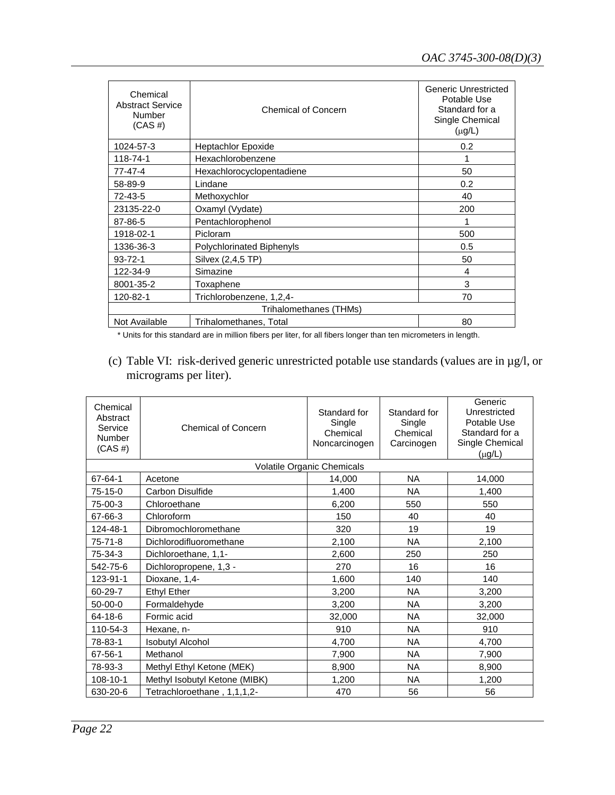| Chemical<br><b>Abstract Service</b><br>Number<br>$(CAS \#)$ | <b>Chemical of Concern</b> | Generic Unrestricted<br>Potable Use<br>Standard for a<br>Single Chemical<br>$(\mu g/L)$ |  |
|-------------------------------------------------------------|----------------------------|-----------------------------------------------------------------------------------------|--|
| 1024-57-3                                                   | Heptachlor Epoxide         | 0.2                                                                                     |  |
| 118-74-1                                                    | Hexachlorobenzene          |                                                                                         |  |
| $77 - 47 - 4$                                               | Hexachlorocyclopentadiene  | 50                                                                                      |  |
| 58-89-9                                                     | Lindane                    | 0.2                                                                                     |  |
| 72-43-5                                                     | Methoxychlor               | 40                                                                                      |  |
| 23135-22-0                                                  | Oxamyl (Vydate)            | 200                                                                                     |  |
| 87-86-5                                                     | Pentachlorophenol          | 1                                                                                       |  |
| 1918-02-1                                                   | Picloram                   | 500                                                                                     |  |
| 1336-36-3                                                   | Polychlorinated Biphenyls  | 0.5                                                                                     |  |
| $93 - 72 - 1$                                               | Silvex (2,4,5 TP)          | 50                                                                                      |  |
| 122-34-9                                                    | Simazine                   | 4                                                                                       |  |
| 8001-35-2                                                   | Toxaphene                  | 3                                                                                       |  |
| 120-82-1                                                    | Trichlorobenzene, 1,2,4-   | 70                                                                                      |  |
| Trihalomethanes (THMs)                                      |                            |                                                                                         |  |
| Not Available                                               | Trihalomethanes, Total     | 80                                                                                      |  |
|                                                             |                            |                                                                                         |  |

\* Units for this standard are in million fibers per liter, for all fibers longer than ten micrometers in length.

(c) Table VI: risk-derived generic unrestricted potable use standards (values are in µg/l, or micrograms per liter).

| Chemical<br>Abstract<br>Service<br>Number<br>$(CAS \#)$ | <b>Chemical of Concern</b>    | Standard for<br>Single<br>Chemical<br>Noncarcinogen | Standard for<br>Single<br>Chemical<br>Carcinogen | Generic<br>Unrestricted<br>Potable Use<br>Standard for a<br>Single Chemical<br>$(\mu g/L)$ |
|---------------------------------------------------------|-------------------------------|-----------------------------------------------------|--------------------------------------------------|--------------------------------------------------------------------------------------------|
|                                                         |                               | Volatile Organic Chemicals                          |                                                  |                                                                                            |
| 67-64-1                                                 | Acetone                       | 14.000                                              | <b>NA</b>                                        | 14,000                                                                                     |
| 75-15-0                                                 | <b>Carbon Disulfide</b>       | 1,400                                               | <b>NA</b>                                        | 1,400                                                                                      |
| 75-00-3                                                 | Chloroethane                  | 6,200                                               | 550                                              | 550                                                                                        |
| 67-66-3                                                 | Chloroform                    | 150                                                 | 40                                               | 40                                                                                         |
| 124-48-1                                                | Dibromochloromethane          | 320                                                 | 19                                               | 19                                                                                         |
| $75 - 71 - 8$                                           | Dichlorodifluoromethane       | 2,100                                               | <b>NA</b>                                        | 2,100                                                                                      |
| 75-34-3                                                 | Dichloroethane, 1,1-          | 2,600                                               | 250                                              | 250                                                                                        |
| 542-75-6                                                | Dichloropropene, 1,3 -        | 270                                                 | 16                                               | 16                                                                                         |
| 123-91-1                                                | Dioxane, 1,4-                 | 1,600                                               | 140                                              | 140                                                                                        |
| 60-29-7                                                 | <b>Ethyl Ether</b>            | 3,200                                               | <b>NA</b>                                        | 3,200                                                                                      |
| $50-00-0$                                               | Formaldehyde                  | 3,200                                               | <b>NA</b>                                        | 3,200                                                                                      |
| 64-18-6                                                 | Formic acid                   | 32,000                                              | <b>NA</b>                                        | 32,000                                                                                     |
| 110-54-3                                                | Hexane, n-                    | 910                                                 | <b>NA</b>                                        | 910                                                                                        |
| 78-83-1                                                 | <b>Isobutyl Alcohol</b>       | 4,700                                               | <b>NA</b>                                        | 4,700                                                                                      |
| 67-56-1                                                 | Methanol                      | 7.900                                               | <b>NA</b>                                        | 7,900                                                                                      |
| 78-93-3                                                 | Methyl Ethyl Ketone (MEK)     | 8,900                                               | <b>NA</b>                                        | 8,900                                                                                      |
| 108-10-1                                                | Methyl Isobutyl Ketone (MIBK) | 1,200                                               | <b>NA</b>                                        | 1,200                                                                                      |
| 630-20-6                                                | Tetrachloroethane, 1,1,1,2-   | 470                                                 | 56                                               | 56                                                                                         |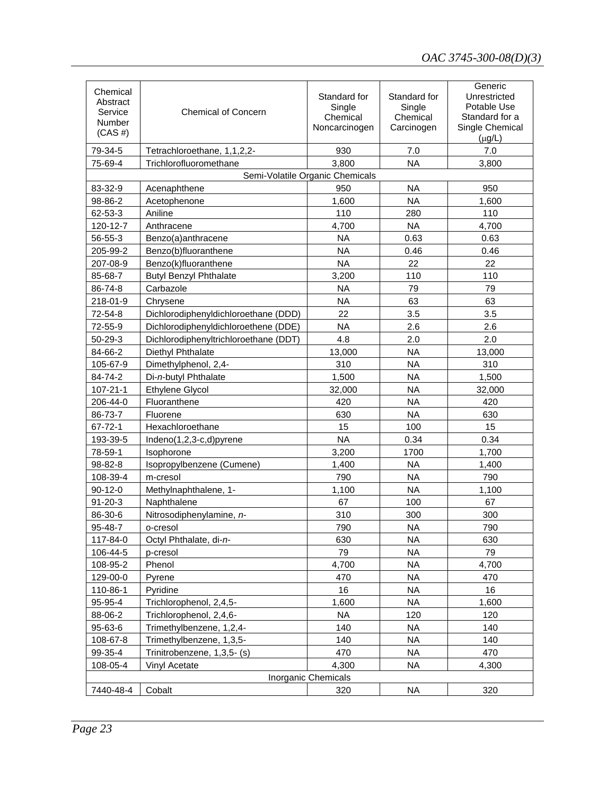| Chemical<br>Abstract<br>Service<br>Number<br>$(CAS \#)$ | <b>Chemical of Concern</b>            | Standard for<br>Single<br>Chemical<br>Noncarcinogen | Standard for<br>Single<br>Chemical<br>Carcinogen | Generic<br>Unrestricted<br>Potable Use<br>Standard for a<br>Single Chemical<br>$(\mu g/L)$ |
|---------------------------------------------------------|---------------------------------------|-----------------------------------------------------|--------------------------------------------------|--------------------------------------------------------------------------------------------|
| 79-34-5                                                 | Tetrachloroethane, 1,1,2,2-           | 930                                                 | 7.0                                              | 7.0                                                                                        |
| 75-69-4                                                 | Trichlorofluoromethane                | 3,800                                               | <b>NA</b>                                        | 3,800                                                                                      |
|                                                         |                                       | Semi-Volatile Organic Chemicals                     |                                                  |                                                                                            |
| 83-32-9                                                 | Acenaphthene                          | 950                                                 | <b>NA</b>                                        | 950                                                                                        |
| 98-86-2                                                 | Acetophenone                          | 1,600                                               | <b>NA</b>                                        | 1,600                                                                                      |
| 62-53-3                                                 | Aniline                               | 110                                                 | 280                                              | 110                                                                                        |
| 120-12-7                                                | Anthracene                            | 4,700                                               | <b>NA</b>                                        | 4,700                                                                                      |
| 56-55-3                                                 | Benzo(a)anthracene                    | <b>NA</b>                                           | 0.63                                             | 0.63                                                                                       |
| 205-99-2                                                | Benzo(b)fluoranthene                  | <b>NA</b>                                           | 0.46                                             | 0.46                                                                                       |
| 207-08-9                                                | Benzo(k)fluoranthene                  | <b>NA</b>                                           | 22                                               | 22                                                                                         |
| 85-68-7                                                 | <b>Butyl Benzyl Phthalate</b>         | 3,200                                               | 110                                              | 110                                                                                        |
| 86-74-8                                                 | Carbazole                             | <b>NA</b>                                           | 79                                               | 79                                                                                         |
| 218-01-9                                                | Chrysene                              | <b>NA</b>                                           | 63                                               | 63                                                                                         |
| 72-54-8                                                 | Dichlorodiphenyldichloroethane (DDD)  | 22                                                  | 3.5                                              | 3.5                                                                                        |
| 72-55-9                                                 | Dichlorodiphenyldichloroethene (DDE)  | <b>NA</b>                                           | 2.6                                              | 2.6                                                                                        |
| 50-29-3                                                 | Dichlorodiphenyltrichloroethane (DDT) | 4.8                                                 | 2.0                                              | 2.0                                                                                        |
| 84-66-2                                                 | Diethyl Phthalate                     | 13,000                                              | <b>NA</b>                                        | 13,000                                                                                     |
| 105-67-9                                                | Dimethylphenol, 2,4-                  | 310                                                 | <b>NA</b>                                        | 310                                                                                        |
| 84-74-2                                                 | Di-n-butyl Phthalate                  | 1,500                                               | <b>NA</b>                                        | 1,500                                                                                      |
| 107-21-1                                                | <b>Ethylene Glycol</b>                | 32,000                                              | <b>NA</b>                                        | 32,000                                                                                     |
| 206-44-0                                                | Fluoranthene                          | 420                                                 | <b>NA</b>                                        | 420                                                                                        |
| 86-73-7                                                 | Fluorene                              | 630                                                 | <b>NA</b>                                        | 630                                                                                        |
| 67-72-1                                                 | Hexachloroethane                      | 15                                                  | 100                                              | 15                                                                                         |
| 193-39-5                                                | Indeno $(1,2,3-c,d)$ pyrene           | <b>NA</b>                                           | 0.34                                             | 0.34                                                                                       |
| 78-59-1                                                 | Isophorone                            | 3,200                                               | 1700                                             | 1,700                                                                                      |
| 98-82-8                                                 | Isopropylbenzene (Cumene)             | 1,400                                               | <b>NA</b>                                        | 1,400                                                                                      |
| 108-39-4                                                | m-cresol                              | 790                                                 | <b>NA</b>                                        | 790                                                                                        |
| $90-12-0$                                               | Methylnaphthalene, 1-                 | 1,100                                               | <b>NA</b>                                        | 1,100                                                                                      |
| $91 - 20 - 3$                                           | Naphthalene                           | 67                                                  | 100                                              | 67                                                                                         |
| 86-30-6                                                 | Nitrosodiphenylamine, n-              | 310                                                 | 300                                              | 300                                                                                        |
| 95-48-7                                                 | o-cresol                              | 790                                                 | <b>NA</b>                                        | 790                                                                                        |
| 117-84-0                                                | Octyl Phthalate, di-n-                | 630                                                 | NA.                                              | 630                                                                                        |
| 106-44-5                                                | p-cresol                              | 79                                                  | <b>NA</b>                                        | 79                                                                                         |
| 108-95-2                                                | Phenol                                | 4,700                                               | <b>NA</b>                                        | 4,700                                                                                      |
| 129-00-0                                                | Pyrene                                | 470                                                 | <b>NA</b>                                        | 470                                                                                        |
| 110-86-1                                                | Pyridine                              | 16                                                  | NA.                                              | 16                                                                                         |
| 95-95-4                                                 | Trichlorophenol, 2,4,5-               | 1,600                                               | NA.                                              | 1,600                                                                                      |
| 88-06-2                                                 | Trichlorophenol, 2,4,6-               | NA.                                                 | 120                                              | 120                                                                                        |
| 95-63-6                                                 | Trimethylbenzene, 1,2,4-              | 140                                                 | <b>NA</b>                                        | 140                                                                                        |
| 108-67-8                                                | Trimethylbenzene, 1,3,5-              | 140                                                 | NA.                                              | 140                                                                                        |
| 99-35-4                                                 | Trinitrobenzene, 1,3,5- (s)           | 470                                                 | <b>NA</b>                                        | 470                                                                                        |
| 108-05-4                                                | Vinyl Acetate                         | 4,300                                               | <b>NA</b>                                        | 4,300                                                                                      |
| Inorganic Chemicals                                     |                                       |                                                     |                                                  |                                                                                            |
| 7440-48-4                                               | Cobalt                                | 320                                                 | <b>NA</b>                                        | 320                                                                                        |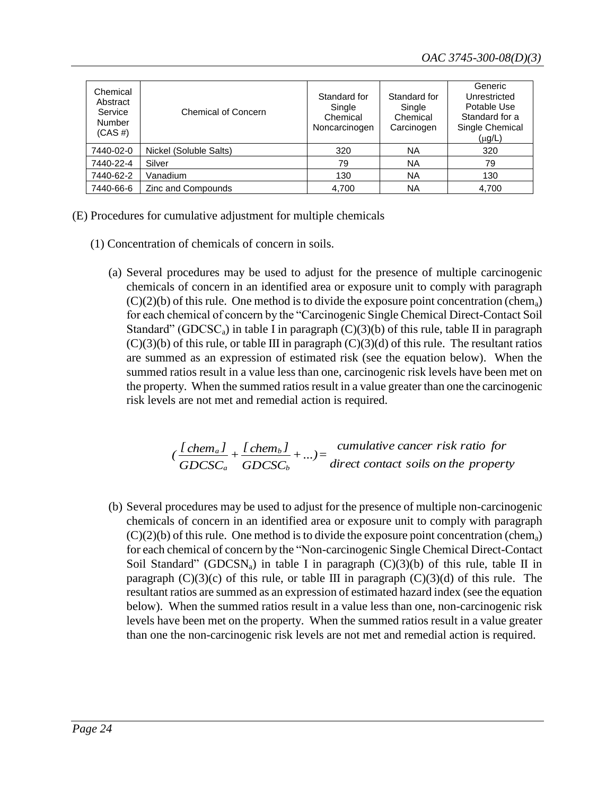| Chemical<br>Abstract<br>Service<br><b>Number</b><br>$(CAS \#)$ | <b>Chemical of Concern</b> | Standard for<br>Single<br>Chemical<br>Noncarcinogen | Standard for<br>Single<br>Chemical<br>Carcinogen | Generic<br>Unrestricted<br>Potable Use<br>Standard for a<br>Single Chemical<br>$(\mu g/L)$ |
|----------------------------------------------------------------|----------------------------|-----------------------------------------------------|--------------------------------------------------|--------------------------------------------------------------------------------------------|
| 7440-02-0                                                      | Nickel (Soluble Salts)     | 320                                                 | <b>NA</b>                                        | 320                                                                                        |
| 7440-22-4                                                      | Silver                     | 79                                                  | <b>NA</b>                                        | 79                                                                                         |
| 7440-62-2                                                      | Vanadium                   | 130                                                 | <b>NA</b>                                        | 130                                                                                        |
| 7440-66-6                                                      | Zinc and Compounds         | 4.700                                               | ΝA                                               | 4.700                                                                                      |

(E) Procedures for cumulative adjustment for multiple chemicals

- (1) Concentration of chemicals of concern in soils.
	- (a) Several procedures may be used to adjust for the presence of multiple carcinogenic chemicals of concern in an identified area or exposure unit to comply with paragraph  $(C)(2)(b)$  of this rule. One method is to divide the exposure point concentration (chem<sub>a</sub>) for each chemical of concern by the "Carcinogenic Single Chemical Direct-Contact Soil Standard" (GDCSC<sub>a</sub>) in table I in paragraph  $(C)(3)(b)$  of this rule, table II in paragraph  $(C)(3)(b)$  of this rule, or table III in paragraph  $(C)(3)(d)$  of this rule. The resultant ratios are summed as an expression of estimated risk (see the equation below). When the summed ratios result in a value less than one, carcinogenic risk levels have been met on the property. When the summed ratios result in a value greater than one the carcinogenic risk levels are not met and remedial action is required.

*direct contact soils on the property cumulative cancer risk ratio for +...)= GDCSC*  $+$ <sup>*[chem<sub>b</sub>]*</sup> *GDCSC*  $\sqrt{\frac{[C_1 C_2]}{[C_1 C_2]}}$ *b b a a*

(b) Several procedures may be used to adjust for the presence of multiple non-carcinogenic chemicals of concern in an identified area or exposure unit to comply with paragraph  $(C)(2)(b)$  of this rule. One method is to divide the exposure point concentration (chem<sub>a</sub>) for each chemical of concern by the "Non-carcinogenic Single Chemical Direct-Contact Soil Standard" (GDCSN<sub>a</sub>) in table I in paragraph (C)(3)(b) of this rule, table II in paragraph  $(C)(3)(c)$  of this rule, or table III in paragraph  $(C)(3)(d)$  of this rule. The resultant ratios are summed as an expression of estimated hazard index (see the equation below). When the summed ratios result in a value less than one, non-carcinogenic risk levels have been met on the property. When the summed ratios result in a value greater than one the non-carcinogenic risk levels are not met and remedial action is required.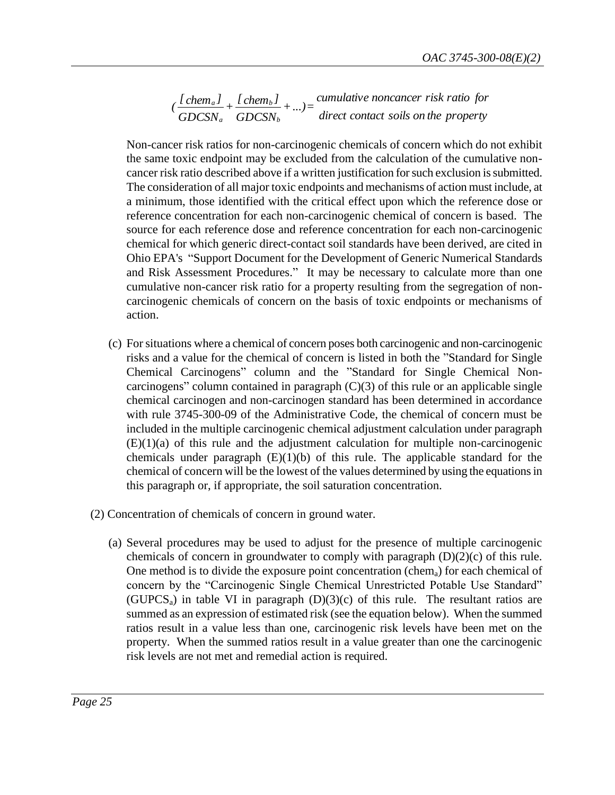*direct contact soils on the property cumulative noncancer risk ratio for +...)= GDCSN*  $+$ <sup>*[chem<sub>b</sub>]*</sup> *GDCSN*  $\sqrt{\frac{[C'(\theta_1,\theta_2)]}{[C'(\theta_1,\theta_2)]}}$ *b b a a*

Non-cancer risk ratios for non-carcinogenic chemicals of concern which do not exhibit the same toxic endpoint may be excluded from the calculation of the cumulative noncancer risk ratio described above if a written justification for such exclusion is submitted. The consideration of all major toxic endpoints and mechanisms of action must include, at a minimum, those identified with the critical effect upon which the reference dose or reference concentration for each non-carcinogenic chemical of concern is based. The source for each reference dose and reference concentration for each non-carcinogenic chemical for which generic direct-contact soil standards have been derived, are cited in Ohio EPA's "Support Document for the Development of Generic Numerical Standards and Risk Assessment Procedures." It may be necessary to calculate more than one cumulative non-cancer risk ratio for a property resulting from the segregation of noncarcinogenic chemicals of concern on the basis of toxic endpoints or mechanisms of action.

- (c) For situations where a chemical of concern poses both carcinogenic and non-carcinogenic risks and a value for the chemical of concern is listed in both the "Standard for Single Chemical Carcinogens" column and the "Standard for Single Chemical Noncarcinogens" column contained in paragraph  $(C)(3)$  of this rule or an applicable single chemical carcinogen and non-carcinogen standard has been determined in accordance with rule 3745-300-09 of the Administrative Code, the chemical of concern must be included in the multiple carcinogenic chemical adjustment calculation under paragraph  $(E)(1)(a)$  of this rule and the adjustment calculation for multiple non-carcinogenic chemicals under paragraph  $(E)(1)(b)$  of this rule. The applicable standard for the chemical of concern will be the lowest of the values determined by using the equations in this paragraph or, if appropriate, the soil saturation concentration.
- (2) Concentration of chemicals of concern in ground water.
	- (a) Several procedures may be used to adjust for the presence of multiple carcinogenic chemicals of concern in groundwater to comply with paragraph (D)(2)(c) of this rule. One method is to divide the exposure point concentration (chem<sub>a</sub>) for each chemical of concern by the "Carcinogenic Single Chemical Unrestricted Potable Use Standard" (GUPCS<sub>a</sub>) in table VI in paragraph  $(D)(3)(c)$  of this rule. The resultant ratios are summed as an expression of estimated risk (see the equation below). When the summed ratios result in a value less than one, carcinogenic risk levels have been met on the property. When the summed ratios result in a value greater than one the carcinogenic risk levels are not met and remedial action is required.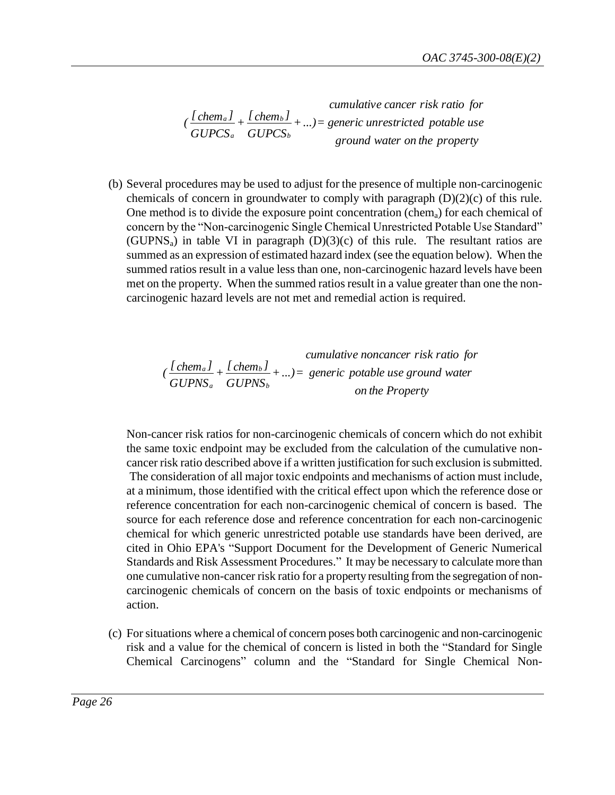*ground water on the property generic unrestricted potable use cumulative cancer risk ratio for +...)= GUPCS*  $+$ <sup>*[chem<sub>b</sub>]*</sup> *GUPCS*  $\sqrt{\frac{[C_1 C_2]}{[C_1 C_2]}}$ *b b a a*

(b) Several procedures may be used to adjust for the presence of multiple non-carcinogenic chemicals of concern in groundwater to comply with paragraph (D)(2)(c) of this rule. One method is to divide the exposure point concentration (chem<sub>a</sub>) for each chemical of concern by the "Non-carcinogenic Single Chemical Unrestricted Potable Use Standard" (GUPNS<sub>a</sub>) in table VI in paragraph  $(D)(3)(c)$  of this rule. The resultant ratios are summed as an expression of estimated hazard index (see the equation below). When the summed ratios result in a value less than one, non-carcinogenic hazard levels have been met on the property. When the summed ratios result in a value greater than one the noncarcinogenic hazard levels are not met and remedial action is required.

*cumulative noncancer risk ratio for*  

$$
(\frac{I \text{chem}_a I}{GUPNS_a} + \frac{I \text{chem}_b I}{GUPNS_b} + ...) = \text{generic notable use ground water} \text{on the Property}
$$

Non-cancer risk ratios for non-carcinogenic chemicals of concern which do not exhibit the same toxic endpoint may be excluded from the calculation of the cumulative noncancer risk ratio described above if a written justification for such exclusion is submitted. The consideration of all major toxic endpoints and mechanisms of action must include, at a minimum, those identified with the critical effect upon which the reference dose or reference concentration for each non-carcinogenic chemical of concern is based. The source for each reference dose and reference concentration for each non-carcinogenic chemical for which generic unrestricted potable use standards have been derived, are cited in Ohio EPA's "Support Document for the Development of Generic Numerical Standards and Risk Assessment Procedures." It may be necessary to calculate more than one cumulative non-cancer risk ratio for a property resulting from the segregation of noncarcinogenic chemicals of concern on the basis of toxic endpoints or mechanisms of action.

(c) For situations where a chemical of concern poses both carcinogenic and non-carcinogenic risk and a value for the chemical of concern is listed in both the "Standard for Single Chemical Carcinogens" column and the "Standard for Single Chemical Non-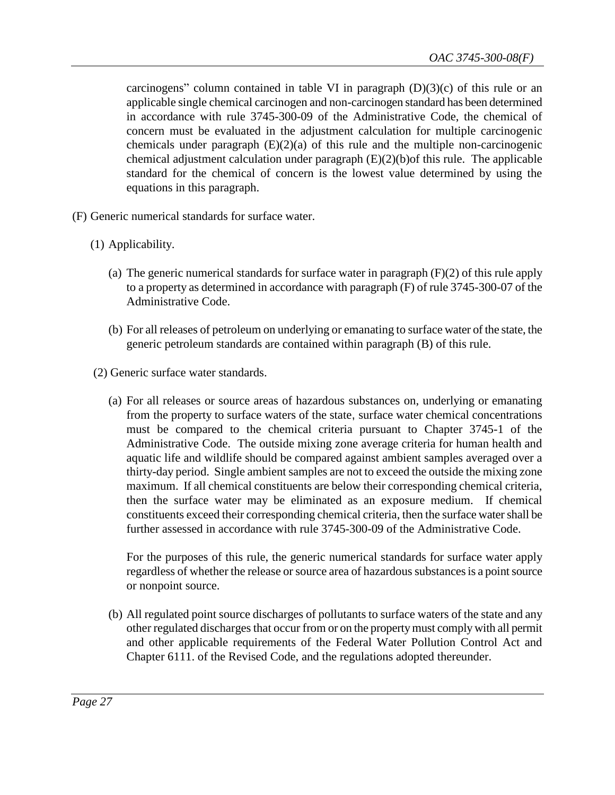carcinogens" column contained in table VI in paragraph  $(D)(3)(c)$  of this rule or an applicable single chemical carcinogen and non-carcinogen standard has been determined in accordance with rule 3745-300-09 of the Administrative Code, the chemical of concern must be evaluated in the adjustment calculation for multiple carcinogenic chemicals under paragraph (E)(2)(a) of this rule and the multiple non-carcinogenic chemical adjustment calculation under paragraph (E)(2)(b)of this rule. The applicable standard for the chemical of concern is the lowest value determined by using the equations in this paragraph.

- (F) Generic numerical standards for surface water.
	- (1) Applicability.
		- (a) The generic numerical standards for surface water in paragraph (F)(2) of this rule apply to a property as determined in accordance with paragraph (F) of rule 3745-300-07 of the Administrative Code.
		- (b) For all releases of petroleum on underlying or emanating to surface water of the state, the generic petroleum standards are contained within paragraph (B) of this rule.
	- (2) Generic surface water standards.
		- (a) For all releases or source areas of hazardous substances on, underlying or emanating from the property to surface waters of the state, surface water chemical concentrations must be compared to the chemical criteria pursuant to Chapter 3745-1 of the Administrative Code. The outside mixing zone average criteria for human health and aquatic life and wildlife should be compared against ambient samples averaged over a thirty-day period. Single ambient samples are not to exceed the outside the mixing zone maximum. If all chemical constituents are below their corresponding chemical criteria, then the surface water may be eliminated as an exposure medium. If chemical constituents exceed their corresponding chemical criteria, then the surface water shall be further assessed in accordance with rule 3745-300-09 of the Administrative Code.

For the purposes of this rule, the generic numerical standards for surface water apply regardless of whether the release or source area of hazardous substances is a point source or nonpoint source.

(b) All regulated point source discharges of pollutants to surface waters of the state and any other regulated discharges that occur from or on the property must comply with all permit and other applicable requirements of the Federal Water Pollution Control Act and Chapter 6111. of the Revised Code, and the regulations adopted thereunder.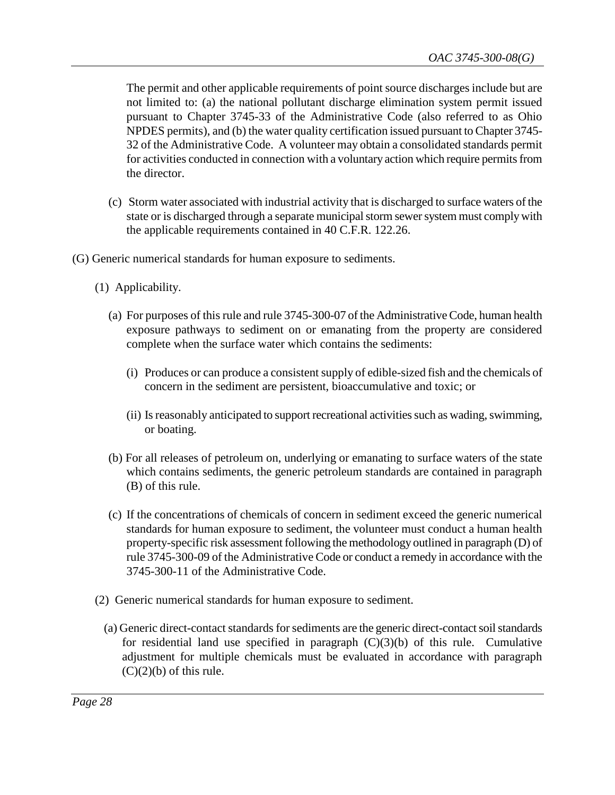The permit and other applicable requirements of point source discharges include but are not limited to: (a) the national pollutant discharge elimination system permit issued pursuant to Chapter 3745-33 of the Administrative Code (also referred to as Ohio NPDES permits), and (b) the water quality certification issued pursuant to Chapter 3745- 32 of the Administrative Code. A volunteer may obtain a consolidated standards permit for activities conducted in connection with a voluntary action which require permits from the director.

- (c) Storm water associated with industrial activity that is discharged to surface waters of the state or is discharged through a separate municipal storm sewer system must comply with the applicable requirements contained in 40 C.F.R. 122.26.
- (G) Generic numerical standards for human exposure to sediments.
	- (1) Applicability.
		- (a) For purposes of this rule and rule 3745-300-07 of the Administrative Code, human health exposure pathways to sediment on or emanating from the property are considered complete when the surface water which contains the sediments:
			- (i) Produces or can produce a consistent supply of edible-sized fish and the chemicals of concern in the sediment are persistent, bioaccumulative and toxic; or
			- (ii) Is reasonably anticipated to support recreational activities such as wading, swimming, or boating.
		- (b) For all releases of petroleum on, underlying or emanating to surface waters of the state which contains sediments, the generic petroleum standards are contained in paragraph (B) of this rule.
		- (c) If the concentrations of chemicals of concern in sediment exceed the generic numerical standards for human exposure to sediment, the volunteer must conduct a human health property-specific risk assessment following the methodology outlined in paragraph (D) of rule 3745-300-09 of the Administrative Code or conduct a remedy in accordance with the 3745-300-11 of the Administrative Code.
	- (2) Generic numerical standards for human exposure to sediment.
		- (a) Generic direct-contact standards for sediments are the generic direct-contact soil standards for residential land use specified in paragraph  $(C)(3)(b)$  of this rule. Cumulative adjustment for multiple chemicals must be evaluated in accordance with paragraph  $(C)(2)(b)$  of this rule.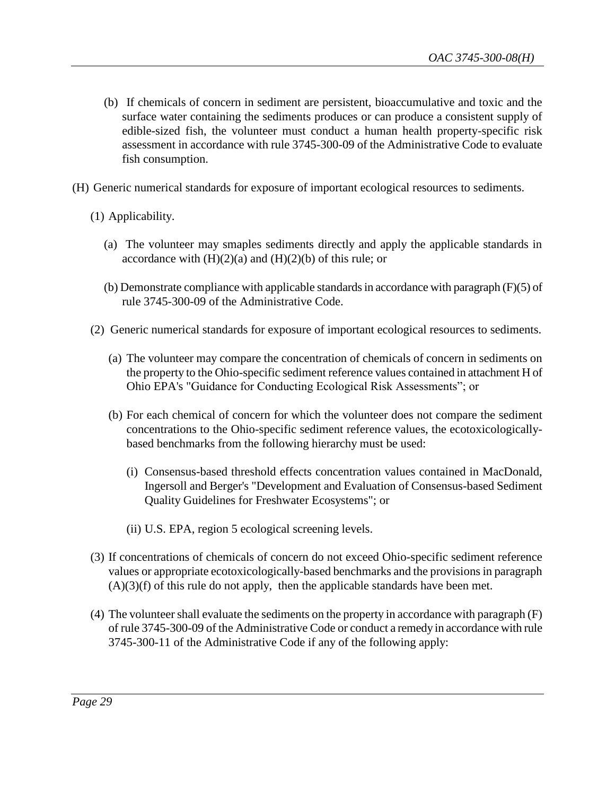- (b) If chemicals of concern in sediment are persistent, bioaccumulative and toxic and the surface water containing the sediments produces or can produce a consistent supply of edible-sized fish, the volunteer must conduct a human health property-specific risk assessment in accordance with rule 3745-300-09 of the Administrative Code to evaluate fish consumption.
- (H) Generic numerical standards for exposure of important ecological resources to sediments.
	- (1) Applicability.
		- (a) The volunteer may smaples sediments directly and apply the applicable standards in accordance with  $(H)(2)(a)$  and  $(H)(2)(b)$  of this rule; or
		- (b) Demonstrate compliance with applicable standards in accordance with paragraph (F)(5) of rule 3745-300-09 of the Administrative Code.
	- (2) Generic numerical standards for exposure of important ecological resources to sediments.
		- (a) The volunteer may compare the concentration of chemicals of concern in sediments on the property to the Ohio-specific sediment reference values contained in attachment H of Ohio EPA's "Guidance for Conducting Ecological Risk Assessments"; or
		- (b) For each chemical of concern for which the volunteer does not compare the sediment concentrations to the Ohio-specific sediment reference values, the ecotoxicologicallybased benchmarks from the following hierarchy must be used:
			- (i) Consensus-based threshold effects concentration values contained in MacDonald, Ingersoll and Berger's "Development and Evaluation of Consensus-based Sediment Quality Guidelines for Freshwater Ecosystems"; or
			- (ii) U.S. EPA, region 5 ecological screening levels.
	- (3) If concentrations of chemicals of concern do not exceed Ohio-specific sediment reference values or appropriate ecotoxicologically-based benchmarks and the provisions in paragraph  $(A)(3)(f)$  of this rule do not apply, then the applicable standards have been met.
	- (4) The volunteer shall evaluate the sediments on the property in accordance with paragraph (F) of rule 3745-300-09 of the Administrative Code or conduct a remedy in accordance with rule 3745-300-11 of the Administrative Code if any of the following apply: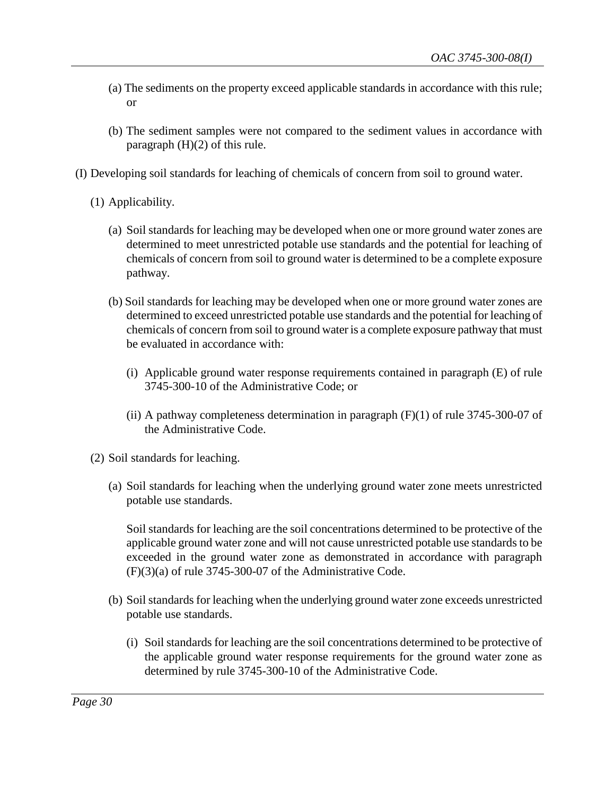- (a) The sediments on the property exceed applicable standards in accordance with this rule; or
- (b) The sediment samples were not compared to the sediment values in accordance with paragraph (H)(2) of this rule.
- (I) Developing soil standards for leaching of chemicals of concern from soil to ground water.
	- (1) Applicability.
		- (a) Soil standards for leaching may be developed when one or more ground water zones are determined to meet unrestricted potable use standards and the potential for leaching of chemicals of concern from soil to ground water is determined to be a complete exposure pathway.
		- (b) Soil standards for leaching may be developed when one or more ground water zones are determined to exceed unrestricted potable use standards and the potential for leaching of chemicals of concern from soil to ground water is a complete exposure pathway that must be evaluated in accordance with:
			- (i) Applicable ground water response requirements contained in paragraph (E) of rule 3745-300-10 of the Administrative Code; or
			- (ii) A pathway completeness determination in paragraph  $(F)(1)$  of rule 3745-300-07 of the Administrative Code.
	- (2) Soil standards for leaching.
		- (a) Soil standards for leaching when the underlying ground water zone meets unrestricted potable use standards.

Soil standards for leaching are the soil concentrations determined to be protective of the applicable ground water zone and will not cause unrestricted potable use standards to be exceeded in the ground water zone as demonstrated in accordance with paragraph (F)(3)(a) of rule 3745-300-07 of the Administrative Code.

- (b) Soil standards for leaching when the underlying ground water zone exceeds unrestricted potable use standards.
	- (i) Soil standards for leaching are the soil concentrations determined to be protective of the applicable ground water response requirements for the ground water zone as determined by rule 3745-300-10 of the Administrative Code.